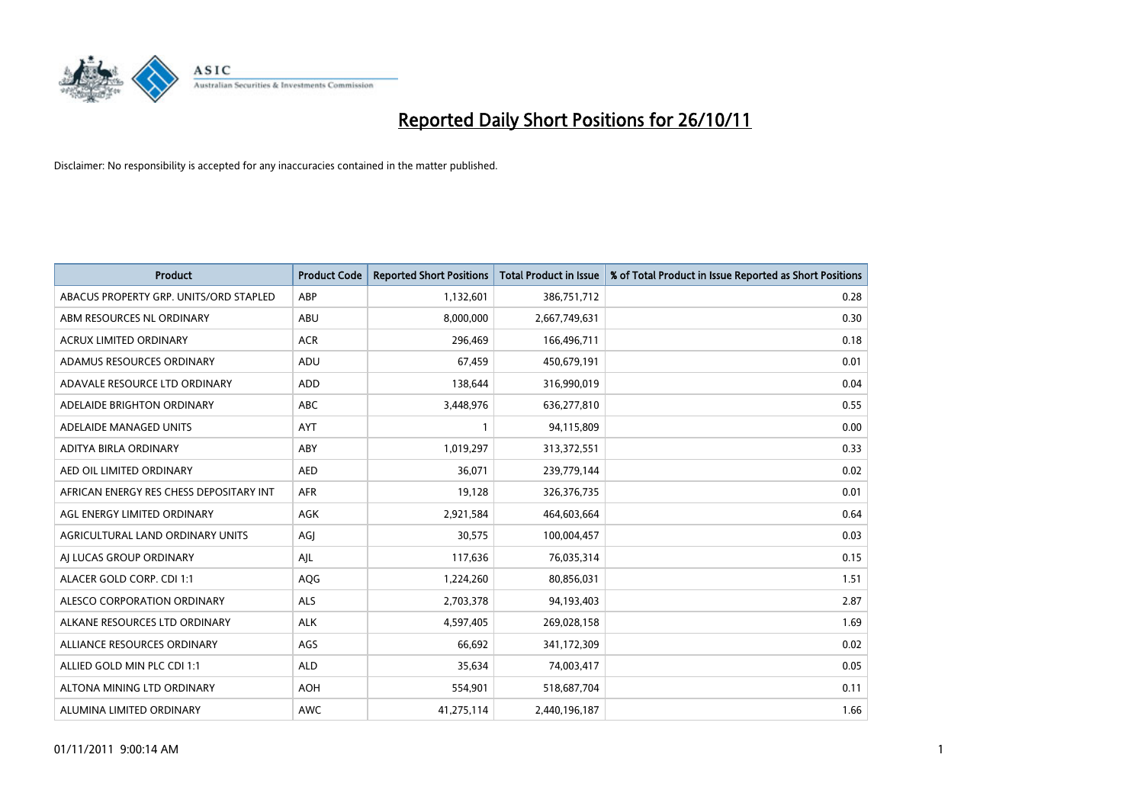

| <b>Product</b>                          | <b>Product Code</b> | <b>Reported Short Positions</b> | Total Product in Issue | % of Total Product in Issue Reported as Short Positions |
|-----------------------------------------|---------------------|---------------------------------|------------------------|---------------------------------------------------------|
| ABACUS PROPERTY GRP. UNITS/ORD STAPLED  | ABP                 | 1,132,601                       | 386,751,712            | 0.28                                                    |
| ABM RESOURCES NL ORDINARY               | ABU                 | 8,000,000                       | 2,667,749,631          | 0.30                                                    |
| <b>ACRUX LIMITED ORDINARY</b>           | <b>ACR</b>          | 296,469                         | 166,496,711            | 0.18                                                    |
| ADAMUS RESOURCES ORDINARY               | ADU                 | 67,459                          | 450,679,191            | 0.01                                                    |
| ADAVALE RESOURCE LTD ORDINARY           | ADD                 | 138,644                         | 316,990,019            | 0.04                                                    |
| ADELAIDE BRIGHTON ORDINARY              | <b>ABC</b>          | 3,448,976                       | 636,277,810            | 0.55                                                    |
| ADELAIDE MANAGED UNITS                  | <b>AYT</b>          |                                 | 94,115,809             | 0.00                                                    |
| ADITYA BIRLA ORDINARY                   | ABY                 | 1,019,297                       | 313,372,551            | 0.33                                                    |
| AED OIL LIMITED ORDINARY                | <b>AED</b>          | 36,071                          | 239,779,144            | 0.02                                                    |
| AFRICAN ENERGY RES CHESS DEPOSITARY INT | <b>AFR</b>          | 19,128                          | 326,376,735            | 0.01                                                    |
| AGL ENERGY LIMITED ORDINARY             | <b>AGK</b>          | 2,921,584                       | 464,603,664            | 0.64                                                    |
| AGRICULTURAL LAND ORDINARY UNITS        | AGI                 | 30,575                          | 100,004,457            | 0.03                                                    |
| AI LUCAS GROUP ORDINARY                 | AJL                 | 117,636                         | 76,035,314             | 0.15                                                    |
| ALACER GOLD CORP. CDI 1:1               | AQG                 | 1,224,260                       | 80,856,031             | 1.51                                                    |
| ALESCO CORPORATION ORDINARY             | <b>ALS</b>          | 2,703,378                       | 94,193,403             | 2.87                                                    |
| ALKANE RESOURCES LTD ORDINARY           | <b>ALK</b>          | 4,597,405                       | 269,028,158            | 1.69                                                    |
| ALLIANCE RESOURCES ORDINARY             | AGS                 | 66,692                          | 341,172,309            | 0.02                                                    |
| ALLIED GOLD MIN PLC CDI 1:1             | <b>ALD</b>          | 35,634                          | 74,003,417             | 0.05                                                    |
| ALTONA MINING LTD ORDINARY              | <b>AOH</b>          | 554,901                         | 518,687,704            | 0.11                                                    |
| ALUMINA LIMITED ORDINARY                | <b>AWC</b>          | 41,275,114                      | 2,440,196,187          | 1.66                                                    |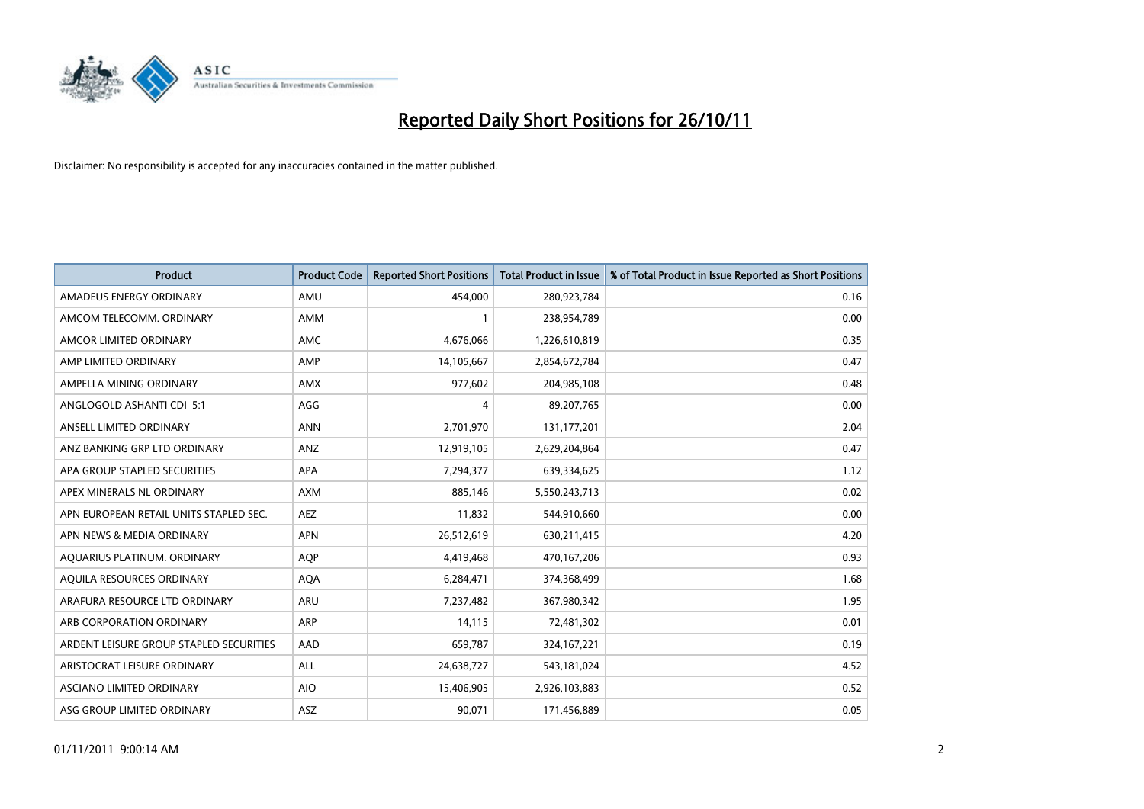

| <b>Product</b>                          | <b>Product Code</b> | <b>Reported Short Positions</b> | <b>Total Product in Issue</b> | % of Total Product in Issue Reported as Short Positions |
|-----------------------------------------|---------------------|---------------------------------|-------------------------------|---------------------------------------------------------|
| AMADEUS ENERGY ORDINARY                 | AMU                 | 454.000                         | 280,923,784                   | 0.16                                                    |
| AMCOM TELECOMM. ORDINARY                | <b>AMM</b>          |                                 | 238,954,789                   | 0.00                                                    |
| AMCOR LIMITED ORDINARY                  | <b>AMC</b>          | 4,676,066                       | 1,226,610,819                 | 0.35                                                    |
| AMP LIMITED ORDINARY                    | AMP                 | 14,105,667                      | 2,854,672,784                 | 0.47                                                    |
| AMPELLA MINING ORDINARY                 | <b>AMX</b>          | 977,602                         | 204,985,108                   | 0.48                                                    |
| ANGLOGOLD ASHANTI CDI 5:1               | AGG                 | 4                               | 89,207,765                    | 0.00                                                    |
| ANSELL LIMITED ORDINARY                 | <b>ANN</b>          | 2,701,970                       | 131,177,201                   | 2.04                                                    |
| ANZ BANKING GRP LTD ORDINARY            | ANZ                 | 12,919,105                      | 2,629,204,864                 | 0.47                                                    |
| APA GROUP STAPLED SECURITIES            | <b>APA</b>          | 7,294,377                       | 639,334,625                   | 1.12                                                    |
| APEX MINERALS NL ORDINARY               | <b>AXM</b>          | 885,146                         | 5,550,243,713                 | 0.02                                                    |
| APN EUROPEAN RETAIL UNITS STAPLED SEC.  | <b>AEZ</b>          | 11,832                          | 544,910,660                   | 0.00                                                    |
| APN NEWS & MEDIA ORDINARY               | <b>APN</b>          | 26,512,619                      | 630,211,415                   | 4.20                                                    |
| AQUARIUS PLATINUM. ORDINARY             | <b>AQP</b>          | 4,419,468                       | 470,167,206                   | 0.93                                                    |
| AQUILA RESOURCES ORDINARY               | <b>AQA</b>          | 6,284,471                       | 374,368,499                   | 1.68                                                    |
| ARAFURA RESOURCE LTD ORDINARY           | <b>ARU</b>          | 7,237,482                       | 367,980,342                   | 1.95                                                    |
| ARB CORPORATION ORDINARY                | <b>ARP</b>          | 14,115                          | 72,481,302                    | 0.01                                                    |
| ARDENT LEISURE GROUP STAPLED SECURITIES | AAD                 | 659,787                         | 324, 167, 221                 | 0.19                                                    |
| ARISTOCRAT LEISURE ORDINARY             | <b>ALL</b>          | 24,638,727                      | 543,181,024                   | 4.52                                                    |
| <b>ASCIANO LIMITED ORDINARY</b>         | <b>AIO</b>          | 15,406,905                      | 2,926,103,883                 | 0.52                                                    |
| ASG GROUP LIMITED ORDINARY              | <b>ASZ</b>          | 90,071                          | 171,456,889                   | 0.05                                                    |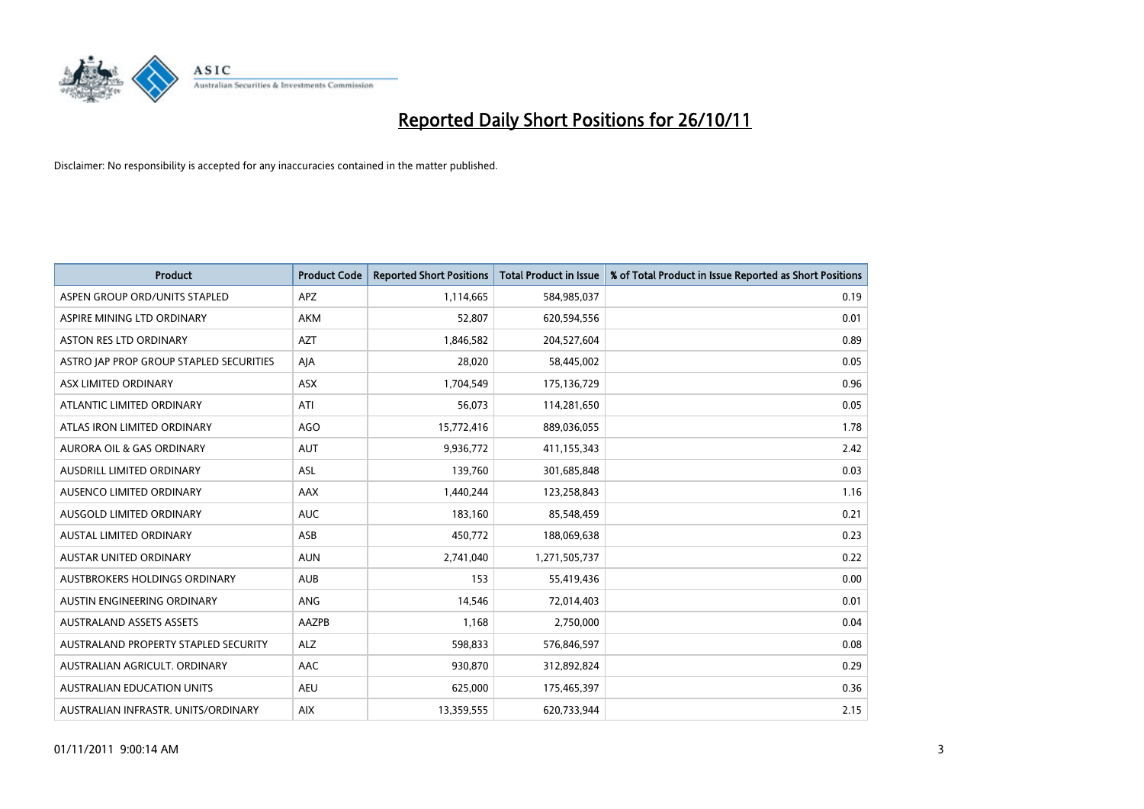

| <b>Product</b>                          | <b>Product Code</b> | <b>Reported Short Positions</b> | <b>Total Product in Issue</b> | % of Total Product in Issue Reported as Short Positions |
|-----------------------------------------|---------------------|---------------------------------|-------------------------------|---------------------------------------------------------|
| ASPEN GROUP ORD/UNITS STAPLED           | <b>APZ</b>          | 1,114,665                       | 584,985,037                   | 0.19                                                    |
| ASPIRE MINING LTD ORDINARY              | <b>AKM</b>          | 52,807                          | 620,594,556                   | 0.01                                                    |
| <b>ASTON RES LTD ORDINARY</b>           | <b>AZT</b>          | 1,846,582                       | 204,527,604                   | 0.89                                                    |
| ASTRO JAP PROP GROUP STAPLED SECURITIES | AJA                 | 28,020                          | 58,445,002                    | 0.05                                                    |
| ASX LIMITED ORDINARY                    | <b>ASX</b>          | 1,704,549                       | 175,136,729                   | 0.96                                                    |
| ATLANTIC LIMITED ORDINARY               | ATI                 | 56,073                          | 114,281,650                   | 0.05                                                    |
| ATLAS IRON LIMITED ORDINARY             | <b>AGO</b>          | 15,772,416                      | 889,036,055                   | 1.78                                                    |
| <b>AURORA OIL &amp; GAS ORDINARY</b>    | <b>AUT</b>          | 9,936,772                       | 411,155,343                   | 2.42                                                    |
| AUSDRILL LIMITED ORDINARY               | ASL                 | 139,760                         | 301,685,848                   | 0.03                                                    |
| AUSENCO LIMITED ORDINARY                | AAX                 | 1,440,244                       | 123,258,843                   | 1.16                                                    |
| <b>AUSGOLD LIMITED ORDINARY</b>         | <b>AUC</b>          | 183,160                         | 85,548,459                    | 0.21                                                    |
| <b>AUSTAL LIMITED ORDINARY</b>          | ASB                 | 450,772                         | 188,069,638                   | 0.23                                                    |
| <b>AUSTAR UNITED ORDINARY</b>           | <b>AUN</b>          | 2,741,040                       | 1,271,505,737                 | 0.22                                                    |
| <b>AUSTBROKERS HOLDINGS ORDINARY</b>    | <b>AUB</b>          | 153                             | 55,419,436                    | 0.00                                                    |
| AUSTIN ENGINEERING ORDINARY             | <b>ANG</b>          | 14,546                          | 72,014,403                    | 0.01                                                    |
| <b>AUSTRALAND ASSETS ASSETS</b>         | <b>AAZPB</b>        | 1,168                           | 2,750,000                     | 0.04                                                    |
| AUSTRALAND PROPERTY STAPLED SECURITY    | <b>ALZ</b>          | 598,833                         | 576,846,597                   | 0.08                                                    |
| AUSTRALIAN AGRICULT. ORDINARY           | AAC                 | 930,870                         | 312,892,824                   | 0.29                                                    |
| <b>AUSTRALIAN EDUCATION UNITS</b>       | <b>AEU</b>          | 625,000                         | 175,465,397                   | 0.36                                                    |
| AUSTRALIAN INFRASTR. UNITS/ORDINARY     | <b>AIX</b>          | 13,359,555                      | 620,733,944                   | 2.15                                                    |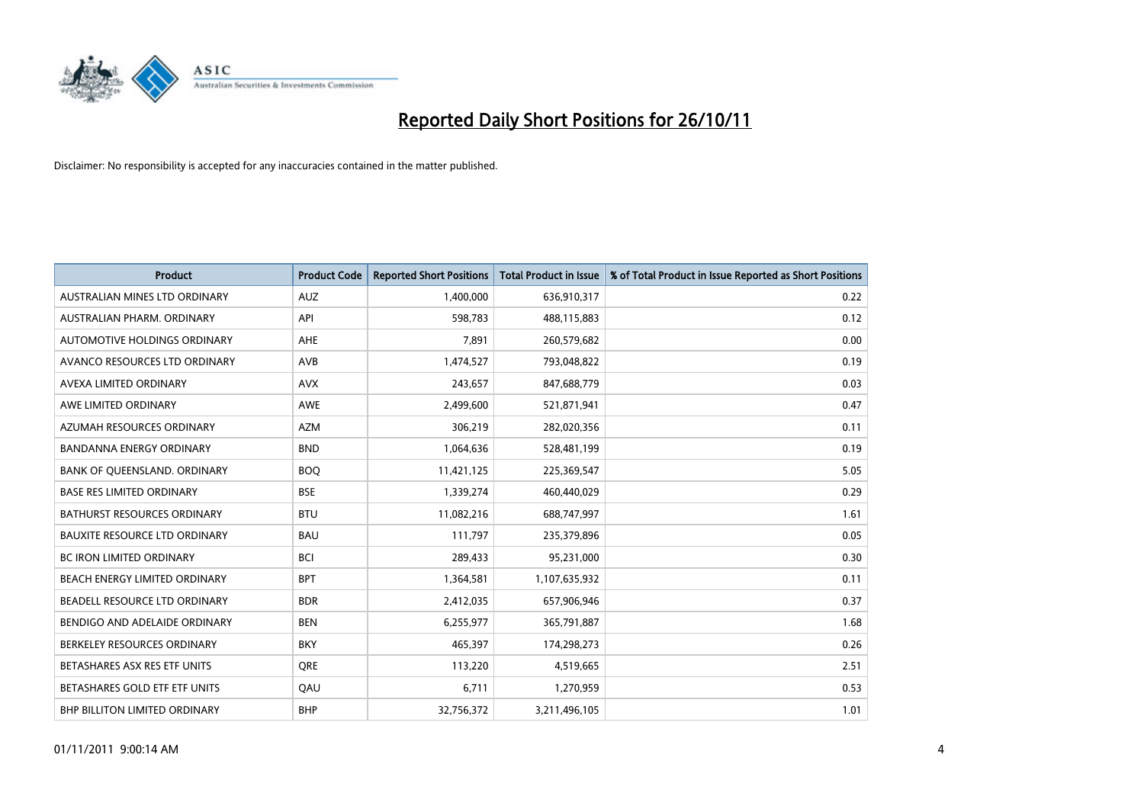

| <b>Product</b>                       | <b>Product Code</b> | <b>Reported Short Positions</b> | <b>Total Product in Issue</b> | % of Total Product in Issue Reported as Short Positions |
|--------------------------------------|---------------------|---------------------------------|-------------------------------|---------------------------------------------------------|
| AUSTRALIAN MINES LTD ORDINARY        | <b>AUZ</b>          | 1,400,000                       | 636,910,317                   | 0.22                                                    |
| AUSTRALIAN PHARM. ORDINARY           | API                 | 598,783                         | 488,115,883                   | 0.12                                                    |
| AUTOMOTIVE HOLDINGS ORDINARY         | <b>AHE</b>          | 7,891                           | 260,579,682                   | 0.00                                                    |
| AVANCO RESOURCES LTD ORDINARY        | <b>AVB</b>          | 1,474,527                       | 793,048,822                   | 0.19                                                    |
| AVEXA LIMITED ORDINARY               | <b>AVX</b>          | 243,657                         | 847,688,779                   | 0.03                                                    |
| AWE LIMITED ORDINARY                 | <b>AWE</b>          | 2,499,600                       | 521,871,941                   | 0.47                                                    |
| AZUMAH RESOURCES ORDINARY            | <b>AZM</b>          | 306,219                         | 282,020,356                   | 0.11                                                    |
| <b>BANDANNA ENERGY ORDINARY</b>      | <b>BND</b>          | 1,064,636                       | 528,481,199                   | 0.19                                                    |
| BANK OF QUEENSLAND. ORDINARY         | <b>BOQ</b>          | 11,421,125                      | 225,369,547                   | 5.05                                                    |
| <b>BASE RES LIMITED ORDINARY</b>     | <b>BSE</b>          | 1,339,274                       | 460,440,029                   | 0.29                                                    |
| <b>BATHURST RESOURCES ORDINARY</b>   | <b>BTU</b>          | 11,082,216                      | 688,747,997                   | 1.61                                                    |
| <b>BAUXITE RESOURCE LTD ORDINARY</b> | <b>BAU</b>          | 111,797                         | 235,379,896                   | 0.05                                                    |
| <b>BC IRON LIMITED ORDINARY</b>      | <b>BCI</b>          | 289,433                         | 95,231,000                    | 0.30                                                    |
| BEACH ENERGY LIMITED ORDINARY        | <b>BPT</b>          | 1,364,581                       | 1,107,635,932                 | 0.11                                                    |
| BEADELL RESOURCE LTD ORDINARY        | <b>BDR</b>          | 2,412,035                       | 657,906,946                   | 0.37                                                    |
| BENDIGO AND ADELAIDE ORDINARY        | <b>BEN</b>          | 6,255,977                       | 365,791,887                   | 1.68                                                    |
| BERKELEY RESOURCES ORDINARY          | <b>BKY</b>          | 465,397                         | 174,298,273                   | 0.26                                                    |
| BETASHARES ASX RES ETF UNITS         | <b>ORE</b>          | 113,220                         | 4,519,665                     | 2.51                                                    |
| BETASHARES GOLD ETF ETF UNITS        | QAU                 | 6,711                           | 1,270,959                     | 0.53                                                    |
| <b>BHP BILLITON LIMITED ORDINARY</b> | <b>BHP</b>          | 32,756,372                      | 3,211,496,105                 | 1.01                                                    |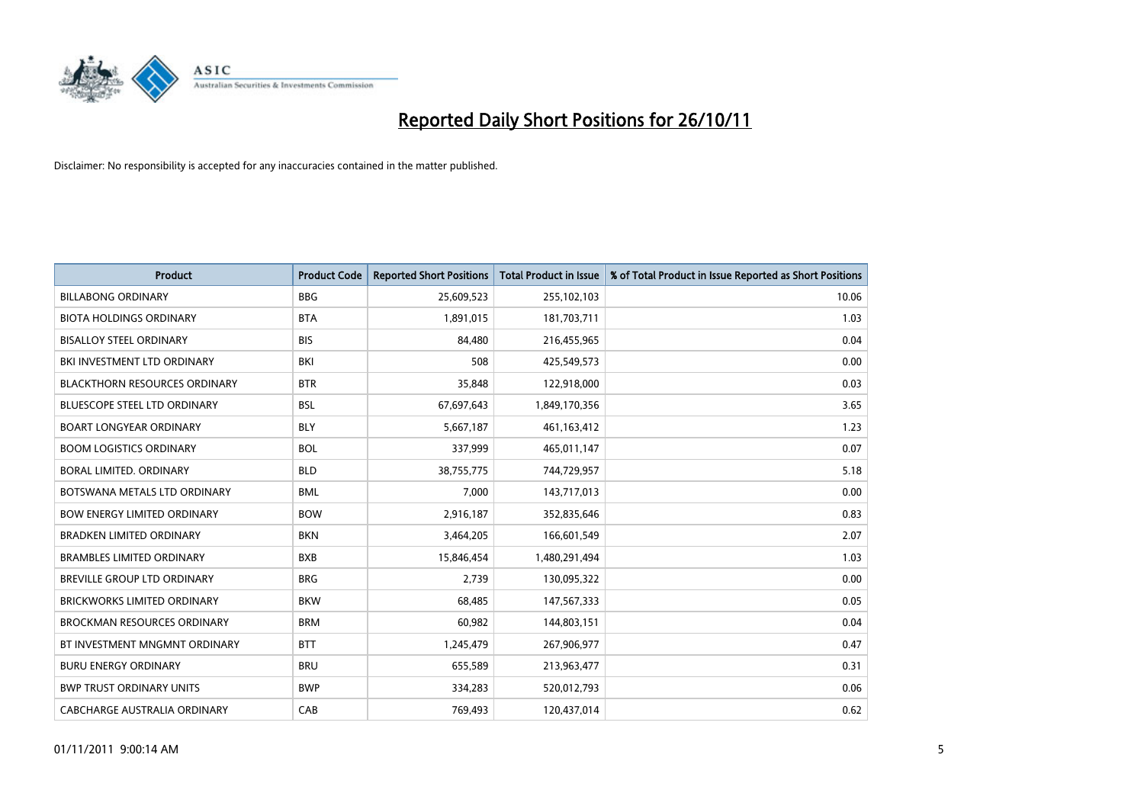

| <b>Product</b>                       | <b>Product Code</b> | <b>Reported Short Positions</b> | <b>Total Product in Issue</b> | % of Total Product in Issue Reported as Short Positions |
|--------------------------------------|---------------------|---------------------------------|-------------------------------|---------------------------------------------------------|
| <b>BILLABONG ORDINARY</b>            | <b>BBG</b>          | 25,609,523                      | 255,102,103                   | 10.06                                                   |
| <b>BIOTA HOLDINGS ORDINARY</b>       | <b>BTA</b>          | 1,891,015                       | 181,703,711                   | 1.03                                                    |
| <b>BISALLOY STEEL ORDINARY</b>       | <b>BIS</b>          | 84,480                          | 216,455,965                   | 0.04                                                    |
| BKI INVESTMENT LTD ORDINARY          | BKI                 | 508                             | 425,549,573                   | 0.00                                                    |
| <b>BLACKTHORN RESOURCES ORDINARY</b> | <b>BTR</b>          | 35,848                          | 122,918,000                   | 0.03                                                    |
| <b>BLUESCOPE STEEL LTD ORDINARY</b>  | <b>BSL</b>          | 67,697,643                      | 1,849,170,356                 | 3.65                                                    |
| <b>BOART LONGYEAR ORDINARY</b>       | <b>BLY</b>          | 5,667,187                       | 461,163,412                   | 1.23                                                    |
| <b>BOOM LOGISTICS ORDINARY</b>       | <b>BOL</b>          | 337,999                         | 465,011,147                   | 0.07                                                    |
| BORAL LIMITED. ORDINARY              | <b>BLD</b>          | 38,755,775                      | 744,729,957                   | 5.18                                                    |
| BOTSWANA METALS LTD ORDINARY         | <b>BML</b>          | 7.000                           | 143,717,013                   | 0.00                                                    |
| <b>BOW ENERGY LIMITED ORDINARY</b>   | <b>BOW</b>          | 2,916,187                       | 352,835,646                   | 0.83                                                    |
| <b>BRADKEN LIMITED ORDINARY</b>      | <b>BKN</b>          | 3,464,205                       | 166,601,549                   | 2.07                                                    |
| <b>BRAMBLES LIMITED ORDINARY</b>     | <b>BXB</b>          | 15,846,454                      | 1,480,291,494                 | 1.03                                                    |
| <b>BREVILLE GROUP LTD ORDINARY</b>   | <b>BRG</b>          | 2.739                           | 130,095,322                   | 0.00                                                    |
| <b>BRICKWORKS LIMITED ORDINARY</b>   | <b>BKW</b>          | 68,485                          | 147,567,333                   | 0.05                                                    |
| <b>BROCKMAN RESOURCES ORDINARY</b>   | <b>BRM</b>          | 60,982                          | 144,803,151                   | 0.04                                                    |
| BT INVESTMENT MNGMNT ORDINARY        | <b>BTT</b>          | 1,245,479                       | 267,906,977                   | 0.47                                                    |
| <b>BURU ENERGY ORDINARY</b>          | <b>BRU</b>          | 655,589                         | 213,963,477                   | 0.31                                                    |
| <b>BWP TRUST ORDINARY UNITS</b>      | <b>BWP</b>          | 334,283                         | 520,012,793                   | 0.06                                                    |
| CABCHARGE AUSTRALIA ORDINARY         | CAB                 | 769.493                         | 120.437.014                   | 0.62                                                    |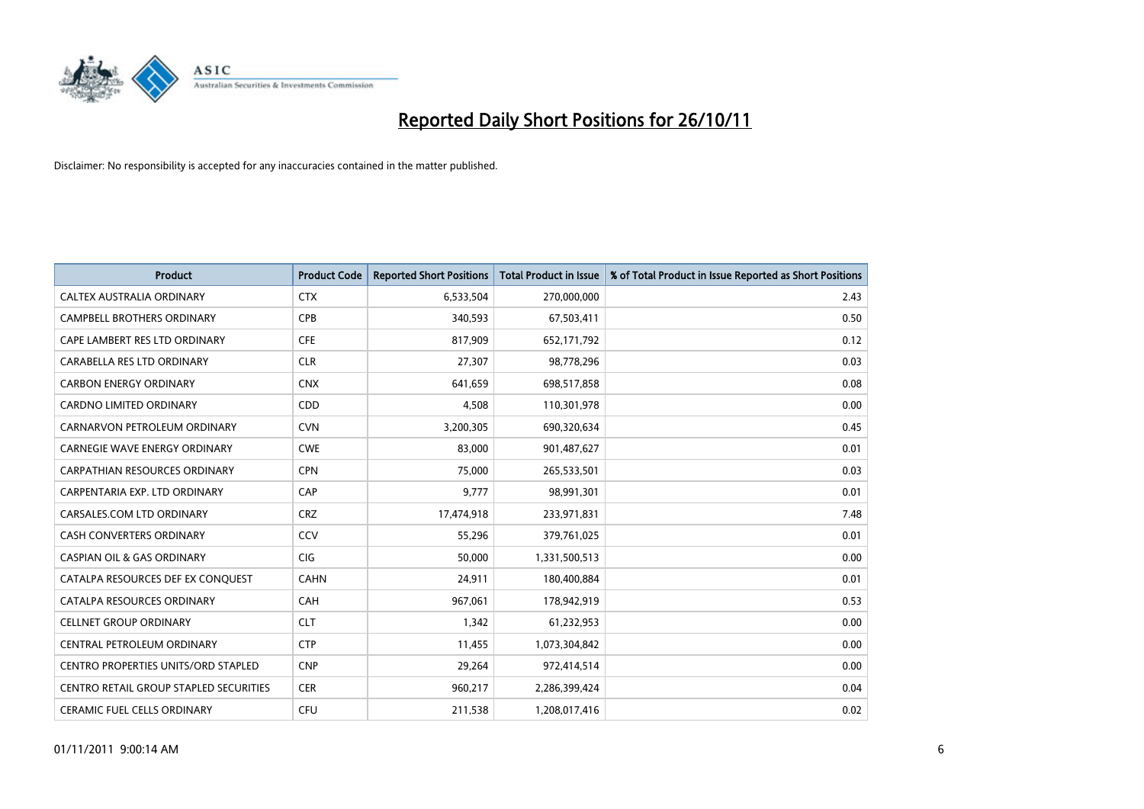

| <b>Product</b>                             | <b>Product Code</b> | <b>Reported Short Positions</b> | <b>Total Product in Issue</b> | % of Total Product in Issue Reported as Short Positions |
|--------------------------------------------|---------------------|---------------------------------|-------------------------------|---------------------------------------------------------|
| CALTEX AUSTRALIA ORDINARY                  | <b>CTX</b>          | 6,533,504                       | 270,000,000                   | 2.43                                                    |
| CAMPBELL BROTHERS ORDINARY                 | <b>CPB</b>          | 340,593                         | 67,503,411                    | 0.50                                                    |
| CAPE LAMBERT RES LTD ORDINARY              | <b>CFE</b>          | 817,909                         | 652,171,792                   | 0.12                                                    |
| CARABELLA RES LTD ORDINARY                 | <b>CLR</b>          | 27,307                          | 98,778,296                    | 0.03                                                    |
| <b>CARBON ENERGY ORDINARY</b>              | <b>CNX</b>          | 641,659                         | 698,517,858                   | 0.08                                                    |
| <b>CARDNO LIMITED ORDINARY</b>             | CDD                 | 4,508                           | 110,301,978                   | 0.00                                                    |
| CARNARVON PETROLEUM ORDINARY               | <b>CVN</b>          | 3,200,305                       | 690,320,634                   | 0.45                                                    |
| <b>CARNEGIE WAVE ENERGY ORDINARY</b>       | <b>CWE</b>          | 83,000                          | 901,487,627                   | 0.01                                                    |
| CARPATHIAN RESOURCES ORDINARY              | <b>CPN</b>          | 75,000                          | 265,533,501                   | 0.03                                                    |
| CARPENTARIA EXP. LTD ORDINARY              | CAP                 | 9,777                           | 98,991,301                    | 0.01                                                    |
| CARSALES.COM LTD ORDINARY                  | <b>CRZ</b>          | 17,474,918                      | 233,971,831                   | 7.48                                                    |
| <b>CASH CONVERTERS ORDINARY</b>            | CCV                 | 55,296                          | 379,761,025                   | 0.01                                                    |
| <b>CASPIAN OIL &amp; GAS ORDINARY</b>      | <b>CIG</b>          | 50,000                          | 1,331,500,513                 | 0.00                                                    |
| CATALPA RESOURCES DEF EX CONQUEST          | <b>CAHN</b>         | 24,911                          | 180,400,884                   | 0.01                                                    |
| CATALPA RESOURCES ORDINARY                 | CAH                 | 967,061                         | 178,942,919                   | 0.53                                                    |
| <b>CELLNET GROUP ORDINARY</b>              | <b>CLT</b>          | 1,342                           | 61,232,953                    | 0.00                                                    |
| CENTRAL PETROLEUM ORDINARY                 | <b>CTP</b>          | 11,455                          | 1,073,304,842                 | 0.00                                                    |
| <b>CENTRO PROPERTIES UNITS/ORD STAPLED</b> | <b>CNP</b>          | 29,264                          | 972,414,514                   | 0.00                                                    |
| CENTRO RETAIL GROUP STAPLED SECURITIES     | <b>CER</b>          | 960,217                         | 2,286,399,424                 | 0.04                                                    |
| <b>CERAMIC FUEL CELLS ORDINARY</b>         | CFU                 | 211,538                         | 1,208,017,416                 | 0.02                                                    |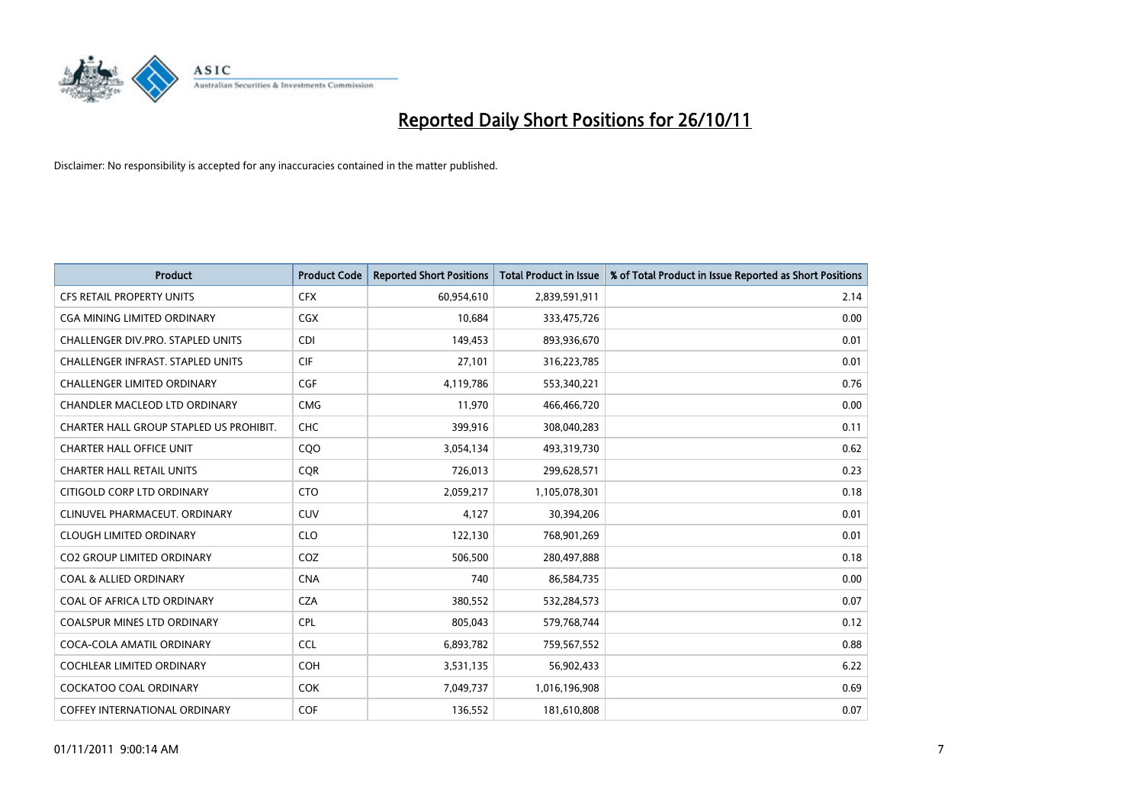

| <b>Product</b>                           | <b>Product Code</b> | <b>Reported Short Positions</b> | <b>Total Product in Issue</b> | % of Total Product in Issue Reported as Short Positions |
|------------------------------------------|---------------------|---------------------------------|-------------------------------|---------------------------------------------------------|
| <b>CFS RETAIL PROPERTY UNITS</b>         | <b>CFX</b>          | 60,954,610                      | 2,839,591,911                 | 2.14                                                    |
| CGA MINING LIMITED ORDINARY              | <b>CGX</b>          | 10,684                          | 333,475,726                   | 0.00                                                    |
| CHALLENGER DIV.PRO. STAPLED UNITS        | <b>CDI</b>          | 149,453                         | 893,936,670                   | 0.01                                                    |
| <b>CHALLENGER INFRAST, STAPLED UNITS</b> | <b>CIF</b>          | 27,101                          | 316,223,785                   | 0.01                                                    |
| <b>CHALLENGER LIMITED ORDINARY</b>       | <b>CGF</b>          | 4,119,786                       | 553,340,221                   | 0.76                                                    |
| CHANDLER MACLEOD LTD ORDINARY            | <b>CMG</b>          | 11,970                          | 466,466,720                   | 0.00                                                    |
| CHARTER HALL GROUP STAPLED US PROHIBIT.  | <b>CHC</b>          | 399,916                         | 308,040,283                   | 0.11                                                    |
| <b>CHARTER HALL OFFICE UNIT</b>          | CQO                 | 3,054,134                       | 493,319,730                   | 0.62                                                    |
| <b>CHARTER HALL RETAIL UNITS</b>         | <b>COR</b>          | 726,013                         | 299,628,571                   | 0.23                                                    |
| CITIGOLD CORP LTD ORDINARY               | <b>CTO</b>          | 2,059,217                       | 1,105,078,301                 | 0.18                                                    |
| CLINUVEL PHARMACEUT. ORDINARY            | <b>CUV</b>          | 4,127                           | 30,394,206                    | 0.01                                                    |
| <b>CLOUGH LIMITED ORDINARY</b>           | <b>CLO</b>          | 122,130                         | 768,901,269                   | 0.01                                                    |
| <b>CO2 GROUP LIMITED ORDINARY</b>        | COZ                 | 506,500                         | 280,497,888                   | 0.18                                                    |
| <b>COAL &amp; ALLIED ORDINARY</b>        | <b>CNA</b>          | 740                             | 86,584,735                    | 0.00                                                    |
| COAL OF AFRICA LTD ORDINARY              | <b>CZA</b>          | 380,552                         | 532,284,573                   | 0.07                                                    |
| <b>COALSPUR MINES LTD ORDINARY</b>       | <b>CPL</b>          | 805,043                         | 579,768,744                   | 0.12                                                    |
| COCA-COLA AMATIL ORDINARY                | <b>CCL</b>          | 6,893,782                       | 759,567,552                   | 0.88                                                    |
| COCHLEAR LIMITED ORDINARY                | <b>COH</b>          | 3,531,135                       | 56,902,433                    | 6.22                                                    |
| <b>COCKATOO COAL ORDINARY</b>            | <b>COK</b>          | 7,049,737                       | 1,016,196,908                 | 0.69                                                    |
| <b>COFFEY INTERNATIONAL ORDINARY</b>     | <b>COF</b>          | 136,552                         | 181,610,808                   | 0.07                                                    |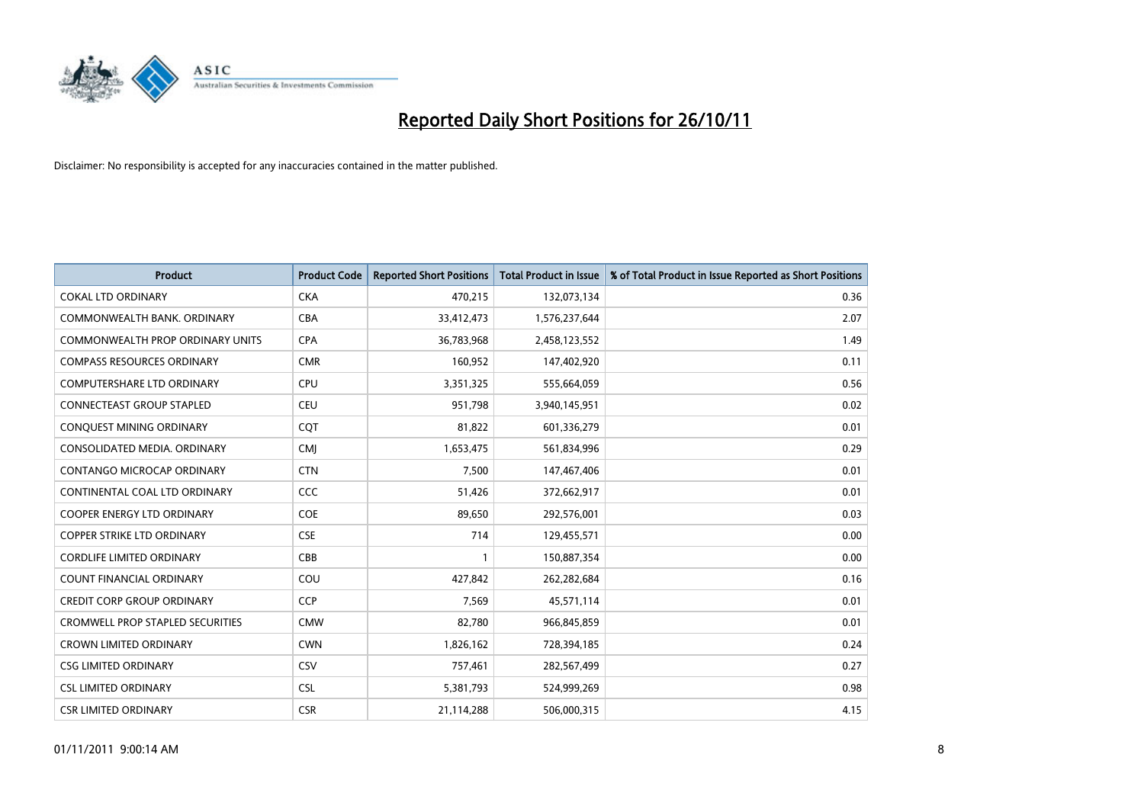

| <b>Product</b>                          | <b>Product Code</b> | <b>Reported Short Positions</b> | <b>Total Product in Issue</b> | % of Total Product in Issue Reported as Short Positions |
|-----------------------------------------|---------------------|---------------------------------|-------------------------------|---------------------------------------------------------|
| <b>COKAL LTD ORDINARY</b>               | <b>CKA</b>          | 470,215                         | 132,073,134                   | 0.36                                                    |
| COMMONWEALTH BANK, ORDINARY             | <b>CBA</b>          | 33,412,473                      | 1,576,237,644                 | 2.07                                                    |
| COMMONWEALTH PROP ORDINARY UNITS        | <b>CPA</b>          | 36,783,968                      | 2,458,123,552                 | 1.49                                                    |
| <b>COMPASS RESOURCES ORDINARY</b>       | <b>CMR</b>          | 160,952                         | 147,402,920                   | 0.11                                                    |
| <b>COMPUTERSHARE LTD ORDINARY</b>       | <b>CPU</b>          | 3,351,325                       | 555,664,059                   | 0.56                                                    |
| <b>CONNECTEAST GROUP STAPLED</b>        | <b>CEU</b>          | 951,798                         | 3,940,145,951                 | 0.02                                                    |
| CONQUEST MINING ORDINARY                | <b>CQT</b>          | 81,822                          | 601,336,279                   | 0.01                                                    |
| CONSOLIDATED MEDIA, ORDINARY            | <b>CMI</b>          | 1,653,475                       | 561,834,996                   | 0.29                                                    |
| CONTANGO MICROCAP ORDINARY              | <b>CTN</b>          | 7,500                           | 147,467,406                   | 0.01                                                    |
| CONTINENTAL COAL LTD ORDINARY           | <b>CCC</b>          | 51,426                          | 372,662,917                   | 0.01                                                    |
| <b>COOPER ENERGY LTD ORDINARY</b>       | <b>COE</b>          | 89,650                          | 292,576,001                   | 0.03                                                    |
| <b>COPPER STRIKE LTD ORDINARY</b>       | <b>CSE</b>          | 714                             | 129,455,571                   | 0.00                                                    |
| <b>CORDLIFE LIMITED ORDINARY</b>        | CBB                 |                                 | 150,887,354                   | 0.00                                                    |
| <b>COUNT FINANCIAL ORDINARY</b>         | COU                 | 427,842                         | 262,282,684                   | 0.16                                                    |
| <b>CREDIT CORP GROUP ORDINARY</b>       | <b>CCP</b>          | 7,569                           | 45,571,114                    | 0.01                                                    |
| <b>CROMWELL PROP STAPLED SECURITIES</b> | <b>CMW</b>          | 82,780                          | 966,845,859                   | 0.01                                                    |
| <b>CROWN LIMITED ORDINARY</b>           | <b>CWN</b>          | 1,826,162                       | 728,394,185                   | 0.24                                                    |
| <b>CSG LIMITED ORDINARY</b>             | CSV                 | 757,461                         | 282,567,499                   | 0.27                                                    |
| <b>CSL LIMITED ORDINARY</b>             | <b>CSL</b>          | 5,381,793                       | 524,999,269                   | 0.98                                                    |
| <b>CSR LIMITED ORDINARY</b>             | <b>CSR</b>          | 21,114,288                      | 506,000,315                   | 4.15                                                    |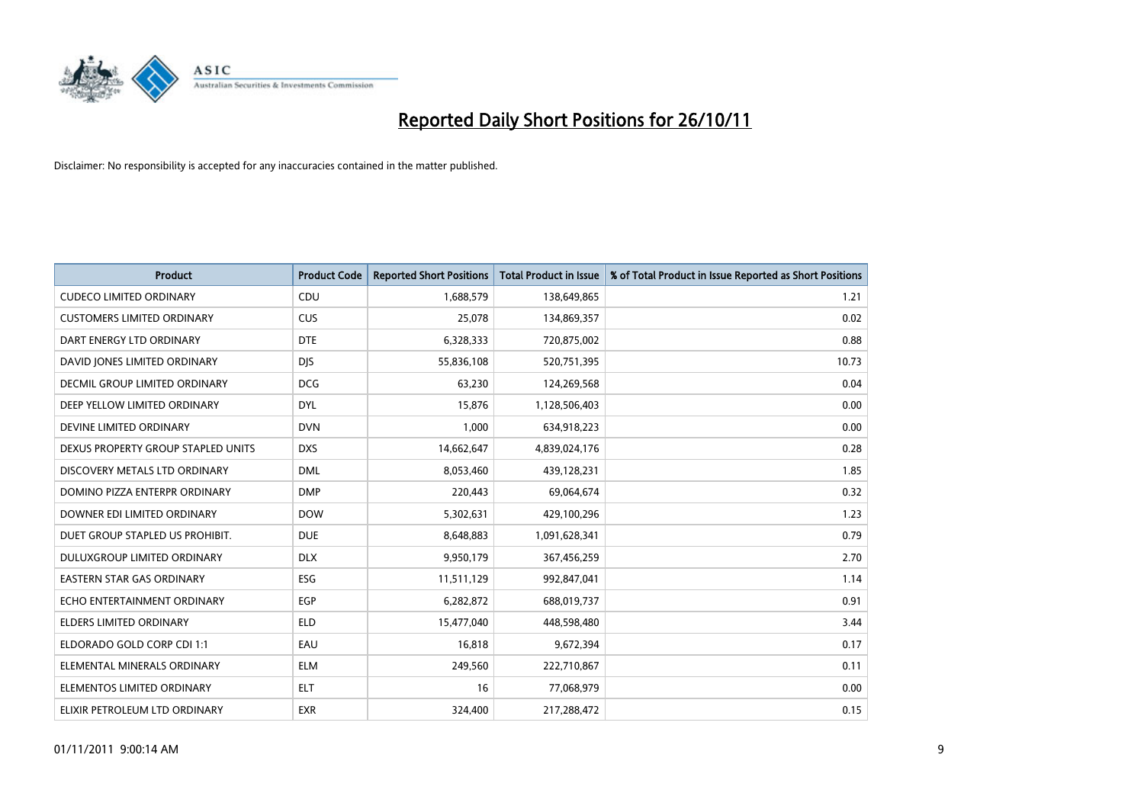

| <b>Product</b>                       | <b>Product Code</b> | <b>Reported Short Positions</b> | <b>Total Product in Issue</b> | % of Total Product in Issue Reported as Short Positions |
|--------------------------------------|---------------------|---------------------------------|-------------------------------|---------------------------------------------------------|
| <b>CUDECO LIMITED ORDINARY</b>       | CDU                 | 1,688,579                       | 138,649,865                   | 1.21                                                    |
| <b>CUSTOMERS LIMITED ORDINARY</b>    | CUS                 | 25,078                          | 134,869,357                   | 0.02                                                    |
| DART ENERGY LTD ORDINARY             | <b>DTE</b>          | 6,328,333                       | 720,875,002                   | 0.88                                                    |
| DAVID JONES LIMITED ORDINARY         | <b>DJS</b>          | 55,836,108                      | 520,751,395                   | 10.73                                                   |
| <b>DECMIL GROUP LIMITED ORDINARY</b> | <b>DCG</b>          | 63,230                          | 124,269,568                   | 0.04                                                    |
| DEEP YELLOW LIMITED ORDINARY         | <b>DYL</b>          | 15,876                          | 1,128,506,403                 | 0.00                                                    |
| DEVINE LIMITED ORDINARY              | <b>DVN</b>          | 1,000                           | 634,918,223                   | 0.00                                                    |
| DEXUS PROPERTY GROUP STAPLED UNITS   | <b>DXS</b>          | 14,662,647                      | 4,839,024,176                 | 0.28                                                    |
| DISCOVERY METALS LTD ORDINARY        | <b>DML</b>          | 8,053,460                       | 439,128,231                   | 1.85                                                    |
| DOMINO PIZZA ENTERPR ORDINARY        | <b>DMP</b>          | 220,443                         | 69,064,674                    | 0.32                                                    |
| DOWNER EDI LIMITED ORDINARY          | <b>DOW</b>          | 5,302,631                       | 429,100,296                   | 1.23                                                    |
| DUET GROUP STAPLED US PROHIBIT.      | <b>DUE</b>          | 8,648,883                       | 1,091,628,341                 | 0.79                                                    |
| DULUXGROUP LIMITED ORDINARY          | <b>DLX</b>          | 9,950,179                       | 367,456,259                   | 2.70                                                    |
| <b>EASTERN STAR GAS ORDINARY</b>     | <b>ESG</b>          | 11,511,129                      | 992,847,041                   | 1.14                                                    |
| ECHO ENTERTAINMENT ORDINARY          | EGP                 | 6,282,872                       | 688,019,737                   | 0.91                                                    |
| ELDERS LIMITED ORDINARY              | <b>ELD</b>          | 15,477,040                      | 448,598,480                   | 3.44                                                    |
| ELDORADO GOLD CORP CDI 1:1           | EAU                 | 16,818                          | 9,672,394                     | 0.17                                                    |
| ELEMENTAL MINERALS ORDINARY          | <b>ELM</b>          | 249,560                         | 222,710,867                   | 0.11                                                    |
| ELEMENTOS LIMITED ORDINARY           | <b>ELT</b>          | 16                              | 77,068,979                    | 0.00                                                    |
| ELIXIR PETROLEUM LTD ORDINARY        | <b>EXR</b>          | 324,400                         | 217,288,472                   | 0.15                                                    |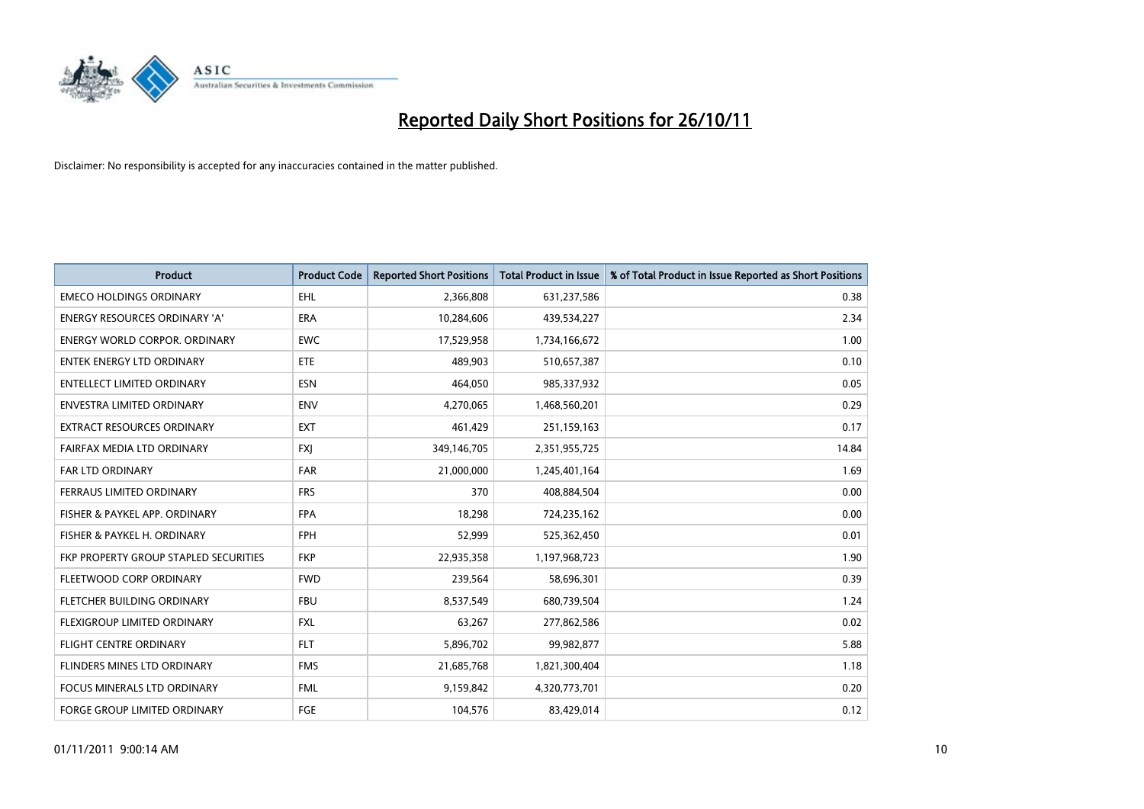

| <b>Product</b>                        | <b>Product Code</b> | <b>Reported Short Positions</b> | <b>Total Product in Issue</b> | % of Total Product in Issue Reported as Short Positions |
|---------------------------------------|---------------------|---------------------------------|-------------------------------|---------------------------------------------------------|
| <b>EMECO HOLDINGS ORDINARY</b>        | <b>EHL</b>          | 2,366,808                       | 631,237,586                   | 0.38                                                    |
| ENERGY RESOURCES ORDINARY 'A'         | <b>ERA</b>          | 10,284,606                      | 439,534,227                   | 2.34                                                    |
| ENERGY WORLD CORPOR, ORDINARY         | <b>EWC</b>          | 17,529,958                      | 1,734,166,672                 | 1.00                                                    |
| ENTEK ENERGY LTD ORDINARY             | <b>ETE</b>          | 489,903                         | 510,657,387                   | 0.10                                                    |
| <b>ENTELLECT LIMITED ORDINARY</b>     | <b>ESN</b>          | 464,050                         | 985,337,932                   | 0.05                                                    |
| <b>ENVESTRA LIMITED ORDINARY</b>      | <b>ENV</b>          | 4,270,065                       | 1,468,560,201                 | 0.29                                                    |
| <b>EXTRACT RESOURCES ORDINARY</b>     | <b>EXT</b>          | 461,429                         | 251,159,163                   | 0.17                                                    |
| FAIRFAX MEDIA LTD ORDINARY            | <b>FXI</b>          | 349,146,705                     | 2,351,955,725                 | 14.84                                                   |
| <b>FAR LTD ORDINARY</b>               | <b>FAR</b>          | 21,000,000                      | 1,245,401,164                 | 1.69                                                    |
| FERRAUS LIMITED ORDINARY              | <b>FRS</b>          | 370                             | 408,884,504                   | 0.00                                                    |
| FISHER & PAYKEL APP. ORDINARY         | <b>FPA</b>          | 18,298                          | 724,235,162                   | 0.00                                                    |
| FISHER & PAYKEL H. ORDINARY           | <b>FPH</b>          | 52,999                          | 525,362,450                   | 0.01                                                    |
| FKP PROPERTY GROUP STAPLED SECURITIES | <b>FKP</b>          | 22,935,358                      | 1,197,968,723                 | 1.90                                                    |
| FLEETWOOD CORP ORDINARY               | <b>FWD</b>          | 239,564                         | 58,696,301                    | 0.39                                                    |
| FLETCHER BUILDING ORDINARY            | <b>FBU</b>          | 8,537,549                       | 680,739,504                   | 1.24                                                    |
| FLEXIGROUP LIMITED ORDINARY           | <b>FXL</b>          | 63,267                          | 277,862,586                   | 0.02                                                    |
| FLIGHT CENTRE ORDINARY                | <b>FLT</b>          | 5,896,702                       | 99,982,877                    | 5.88                                                    |
| FLINDERS MINES LTD ORDINARY           | <b>FMS</b>          | 21,685,768                      | 1,821,300,404                 | 1.18                                                    |
| <b>FOCUS MINERALS LTD ORDINARY</b>    | <b>FML</b>          | 9,159,842                       | 4,320,773,701                 | 0.20                                                    |
| FORGE GROUP LIMITED ORDINARY          | FGE                 | 104,576                         | 83,429,014                    | 0.12                                                    |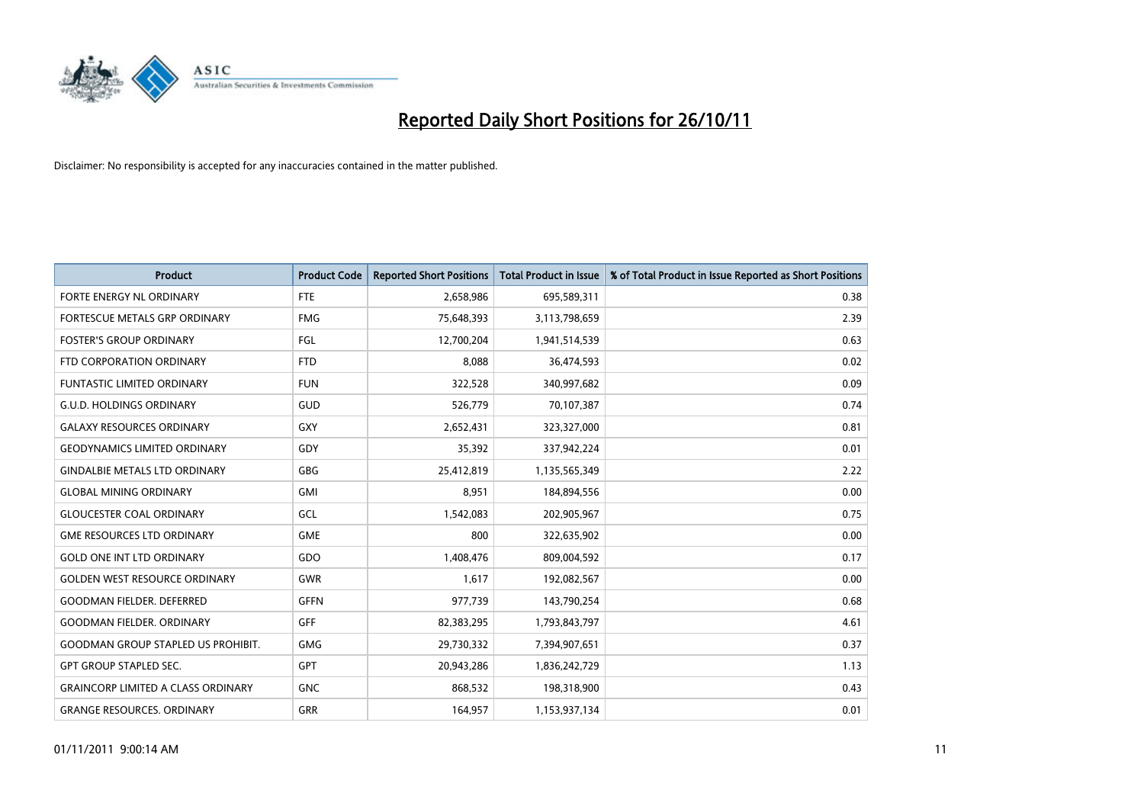

| <b>Product</b>                            | <b>Product Code</b> | <b>Reported Short Positions</b> | <b>Total Product in Issue</b> | % of Total Product in Issue Reported as Short Positions |
|-------------------------------------------|---------------------|---------------------------------|-------------------------------|---------------------------------------------------------|
| FORTE ENERGY NL ORDINARY                  | FTE                 | 2,658,986                       | 695,589,311                   | 0.38                                                    |
| FORTESCUE METALS GRP ORDINARY             | <b>FMG</b>          | 75,648,393                      | 3,113,798,659                 | 2.39                                                    |
| <b>FOSTER'S GROUP ORDINARY</b>            | FGL                 | 12,700,204                      | 1,941,514,539                 | 0.63                                                    |
| FTD CORPORATION ORDINARY                  | <b>FTD</b>          | 8,088                           | 36,474,593                    | 0.02                                                    |
| <b>FUNTASTIC LIMITED ORDINARY</b>         | <b>FUN</b>          | 322,528                         | 340,997,682                   | 0.09                                                    |
| <b>G.U.D. HOLDINGS ORDINARY</b>           | GUD                 | 526,779                         | 70,107,387                    | 0.74                                                    |
| <b>GALAXY RESOURCES ORDINARY</b>          | <b>GXY</b>          | 2,652,431                       | 323,327,000                   | 0.81                                                    |
| <b>GEODYNAMICS LIMITED ORDINARY</b>       | GDY                 | 35,392                          | 337,942,224                   | 0.01                                                    |
| <b>GINDALBIE METALS LTD ORDINARY</b>      | <b>GBG</b>          | 25,412,819                      | 1,135,565,349                 | 2.22                                                    |
| <b>GLOBAL MINING ORDINARY</b>             | <b>GMI</b>          | 8,951                           | 184,894,556                   | 0.00                                                    |
| <b>GLOUCESTER COAL ORDINARY</b>           | GCL                 | 1,542,083                       | 202,905,967                   | 0.75                                                    |
| <b>GME RESOURCES LTD ORDINARY</b>         | <b>GME</b>          | 800                             | 322,635,902                   | 0.00                                                    |
| <b>GOLD ONE INT LTD ORDINARY</b>          | GDO                 | 1,408,476                       | 809,004,592                   | 0.17                                                    |
| <b>GOLDEN WEST RESOURCE ORDINARY</b>      | <b>GWR</b>          | 1,617                           | 192,082,567                   | 0.00                                                    |
| <b>GOODMAN FIELDER. DEFERRED</b>          | <b>GFFN</b>         | 977,739                         | 143,790,254                   | 0.68                                                    |
| <b>GOODMAN FIELDER. ORDINARY</b>          | <b>GFF</b>          | 82,383,295                      | 1,793,843,797                 | 4.61                                                    |
| <b>GOODMAN GROUP STAPLED US PROHIBIT.</b> | <b>GMG</b>          | 29,730,332                      | 7,394,907,651                 | 0.37                                                    |
| <b>GPT GROUP STAPLED SEC.</b>             | <b>GPT</b>          | 20,943,286                      | 1,836,242,729                 | 1.13                                                    |
| <b>GRAINCORP LIMITED A CLASS ORDINARY</b> | <b>GNC</b>          | 868,532                         | 198,318,900                   | 0.43                                                    |
| <b>GRANGE RESOURCES, ORDINARY</b>         | <b>GRR</b>          | 164,957                         | 1,153,937,134                 | 0.01                                                    |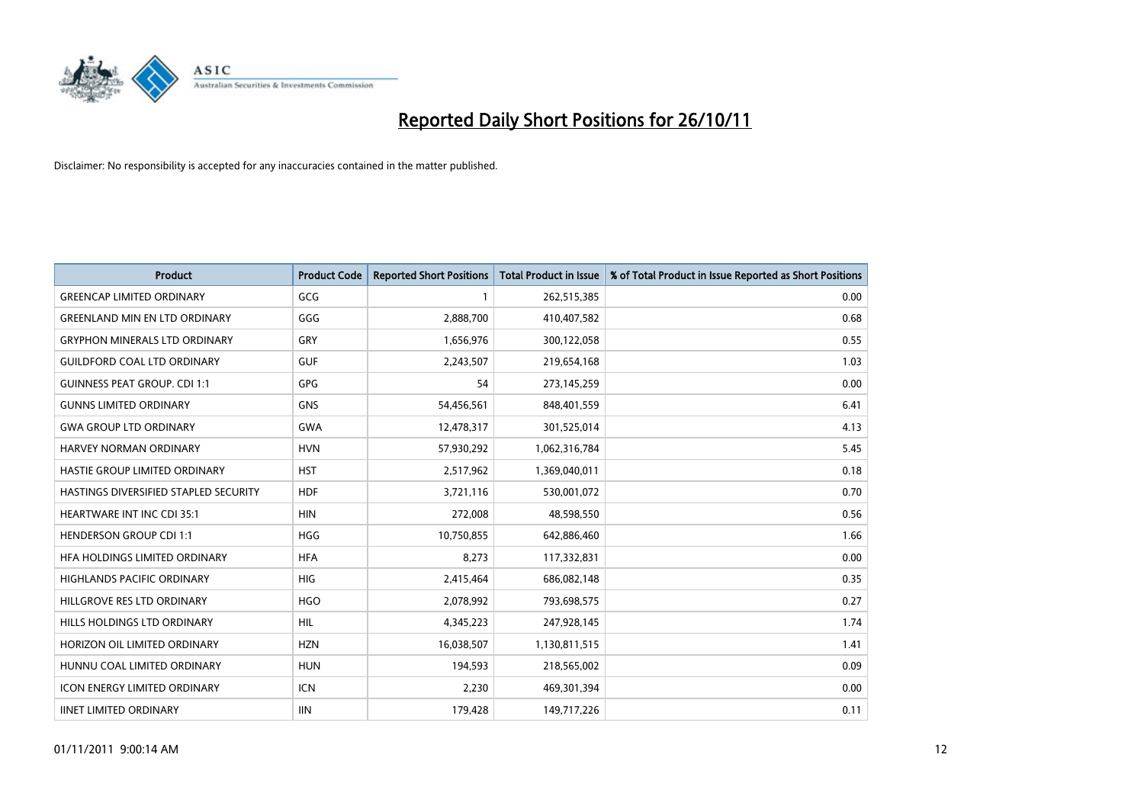

| <b>Product</b>                        | <b>Product Code</b> | <b>Reported Short Positions</b> | <b>Total Product in Issue</b> | % of Total Product in Issue Reported as Short Positions |
|---------------------------------------|---------------------|---------------------------------|-------------------------------|---------------------------------------------------------|
| <b>GREENCAP LIMITED ORDINARY</b>      | GCG                 |                                 | 262,515,385                   | 0.00                                                    |
| <b>GREENLAND MIN EN LTD ORDINARY</b>  | GGG                 | 2,888,700                       | 410,407,582                   | 0.68                                                    |
| <b>GRYPHON MINERALS LTD ORDINARY</b>  | GRY                 | 1,656,976                       | 300,122,058                   | 0.55                                                    |
| <b>GUILDFORD COAL LTD ORDINARY</b>    | <b>GUF</b>          | 2,243,507                       | 219,654,168                   | 1.03                                                    |
| <b>GUINNESS PEAT GROUP. CDI 1:1</b>   | <b>GPG</b>          | 54                              | 273,145,259                   | 0.00                                                    |
| <b>GUNNS LIMITED ORDINARY</b>         | <b>GNS</b>          | 54,456,561                      | 848,401,559                   | 6.41                                                    |
| <b>GWA GROUP LTD ORDINARY</b>         | <b>GWA</b>          | 12,478,317                      | 301,525,014                   | 4.13                                                    |
| HARVEY NORMAN ORDINARY                | <b>HVN</b>          | 57,930,292                      | 1,062,316,784                 | 5.45                                                    |
| HASTIE GROUP LIMITED ORDINARY         | <b>HST</b>          | 2,517,962                       | 1,369,040,011                 | 0.18                                                    |
| HASTINGS DIVERSIFIED STAPLED SECURITY | <b>HDF</b>          | 3,721,116                       | 530,001,072                   | 0.70                                                    |
| <b>HEARTWARE INT INC CDI 35:1</b>     | <b>HIN</b>          | 272,008                         | 48,598,550                    | 0.56                                                    |
| <b>HENDERSON GROUP CDI 1:1</b>        | <b>HGG</b>          | 10,750,855                      | 642,886,460                   | 1.66                                                    |
| HFA HOLDINGS LIMITED ORDINARY         | <b>HFA</b>          | 8,273                           | 117,332,831                   | 0.00                                                    |
| <b>HIGHLANDS PACIFIC ORDINARY</b>     | <b>HIG</b>          | 2,415,464                       | 686,082,148                   | 0.35                                                    |
| HILLGROVE RES LTD ORDINARY            | <b>HGO</b>          | 2,078,992                       | 793,698,575                   | 0.27                                                    |
| HILLS HOLDINGS LTD ORDINARY           | <b>HIL</b>          | 4,345,223                       | 247,928,145                   | 1.74                                                    |
| HORIZON OIL LIMITED ORDINARY          | <b>HZN</b>          | 16,038,507                      | 1,130,811,515                 | 1.41                                                    |
| HUNNU COAL LIMITED ORDINARY           | <b>HUN</b>          | 194,593                         | 218,565,002                   | 0.09                                                    |
| <b>ICON ENERGY LIMITED ORDINARY</b>   | <b>ICN</b>          | 2,230                           | 469,301,394                   | 0.00                                                    |
| <b>IINET LIMITED ORDINARY</b>         | <b>IIN</b>          | 179,428                         | 149,717,226                   | 0.11                                                    |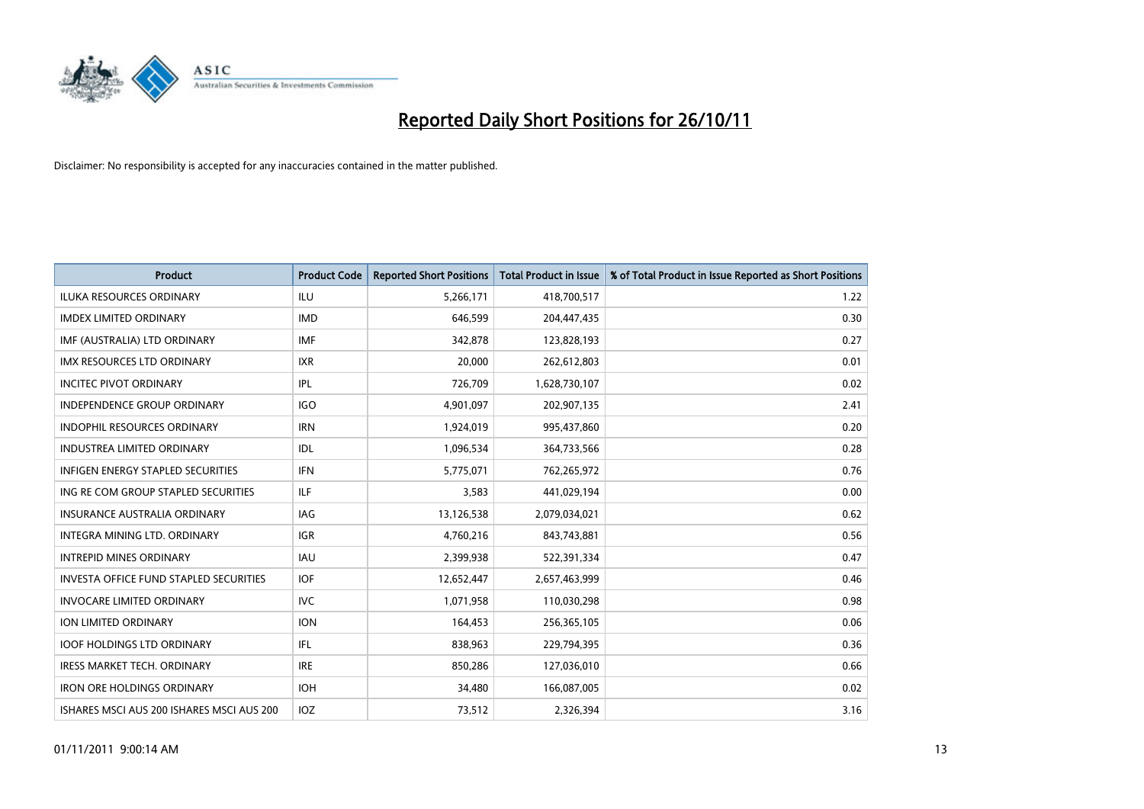

| <b>Product</b>                                | <b>Product Code</b> | <b>Reported Short Positions</b> | Total Product in Issue | % of Total Product in Issue Reported as Short Positions |
|-----------------------------------------------|---------------------|---------------------------------|------------------------|---------------------------------------------------------|
| <b>ILUKA RESOURCES ORDINARY</b>               | ILU                 | 5,266,171                       | 418,700,517            | 1.22                                                    |
| <b>IMDEX LIMITED ORDINARY</b>                 | <b>IMD</b>          | 646,599                         | 204,447,435            | 0.30                                                    |
| IMF (AUSTRALIA) LTD ORDINARY                  | <b>IMF</b>          | 342,878                         | 123,828,193            | 0.27                                                    |
| IMX RESOURCES LTD ORDINARY                    | <b>IXR</b>          | 20,000                          | 262,612,803            | 0.01                                                    |
| <b>INCITEC PIVOT ORDINARY</b>                 | IPL                 | 726,709                         | 1,628,730,107          | 0.02                                                    |
| <b>INDEPENDENCE GROUP ORDINARY</b>            | <b>IGO</b>          | 4,901,097                       | 202,907,135            | 2.41                                                    |
| <b>INDOPHIL RESOURCES ORDINARY</b>            | <b>IRN</b>          | 1,924,019                       | 995,437,860            | 0.20                                                    |
| <b>INDUSTREA LIMITED ORDINARY</b>             | IDL                 | 1,096,534                       | 364,733,566            | 0.28                                                    |
| INFIGEN ENERGY STAPLED SECURITIES             | <b>IFN</b>          | 5,775,071                       | 762,265,972            | 0.76                                                    |
| ING RE COM GROUP STAPLED SECURITIES           | ILF.                | 3,583                           | 441,029,194            | 0.00                                                    |
| INSURANCE AUSTRALIA ORDINARY                  | IAG                 | 13,126,538                      | 2,079,034,021          | 0.62                                                    |
| <b>INTEGRA MINING LTD, ORDINARY</b>           | <b>IGR</b>          | 4,760,216                       | 843,743,881            | 0.56                                                    |
| <b>INTREPID MINES ORDINARY</b>                | <b>IAU</b>          | 2,399,938                       | 522,391,334            | 0.47                                                    |
| <b>INVESTA OFFICE FUND STAPLED SECURITIES</b> | <b>IOF</b>          | 12,652,447                      | 2,657,463,999          | 0.46                                                    |
| <b>INVOCARE LIMITED ORDINARY</b>              | <b>IVC</b>          | 1,071,958                       | 110,030,298            | 0.98                                                    |
| ION LIMITED ORDINARY                          | <b>ION</b>          | 164,453                         | 256,365,105            | 0.06                                                    |
| <b>IOOF HOLDINGS LTD ORDINARY</b>             | <b>IFL</b>          | 838,963                         | 229,794,395            | 0.36                                                    |
| IRESS MARKET TECH. ORDINARY                   | <b>IRE</b>          | 850,286                         | 127,036,010            | 0.66                                                    |
| <b>IRON ORE HOLDINGS ORDINARY</b>             | <b>IOH</b>          | 34,480                          | 166,087,005            | 0.02                                                    |
| ISHARES MSCI AUS 200 ISHARES MSCI AUS 200     | IOZ                 | 73,512                          | 2,326,394              | 3.16                                                    |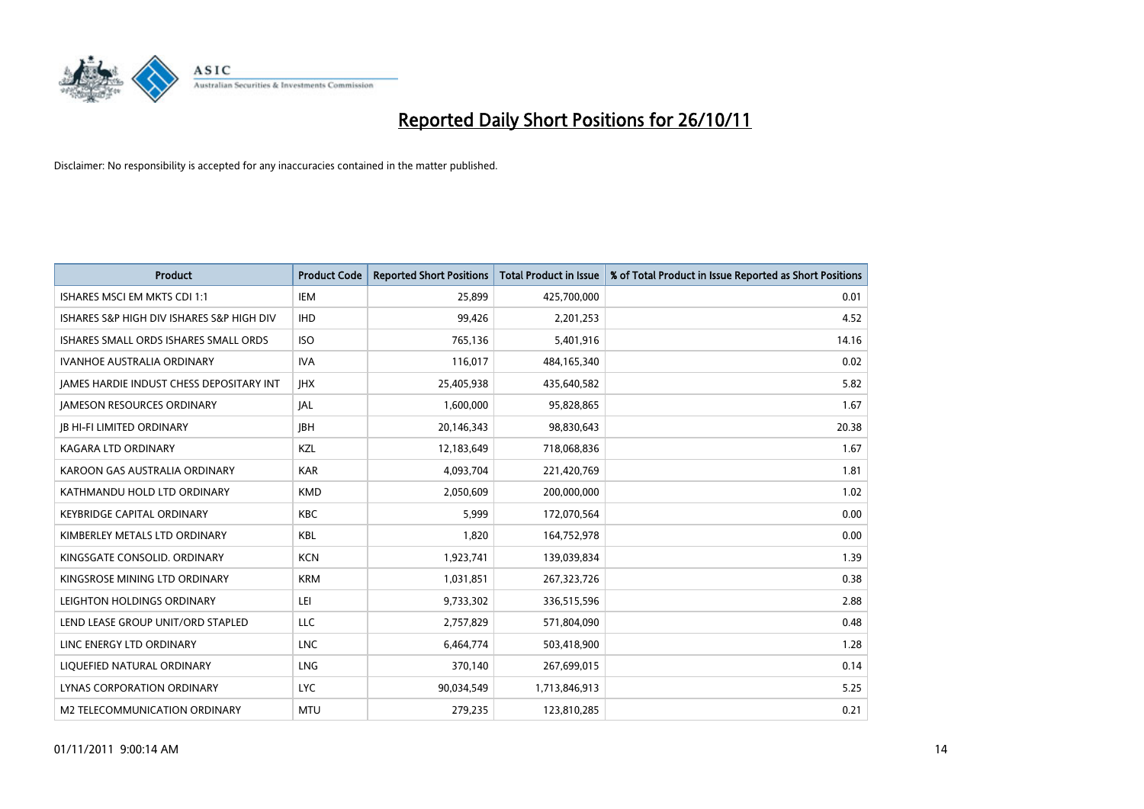

| <b>Product</b>                                  | <b>Product Code</b> | <b>Reported Short Positions</b> | <b>Total Product in Issue</b> | % of Total Product in Issue Reported as Short Positions |
|-------------------------------------------------|---------------------|---------------------------------|-------------------------------|---------------------------------------------------------|
| ISHARES MSCI EM MKTS CDI 1:1                    | <b>IEM</b>          | 25,899                          | 425,700,000                   | 0.01                                                    |
| ISHARES S&P HIGH DIV ISHARES S&P HIGH DIV       | <b>IHD</b>          | 99,426                          | 2,201,253                     | 4.52                                                    |
| ISHARES SMALL ORDS ISHARES SMALL ORDS           | <b>ISO</b>          | 765,136                         | 5,401,916                     | 14.16                                                   |
| <b>IVANHOE AUSTRALIA ORDINARY</b>               | <b>IVA</b>          | 116,017                         | 484,165,340                   | 0.02                                                    |
| <b>IAMES HARDIE INDUST CHESS DEPOSITARY INT</b> | <b>IHX</b>          | 25,405,938                      | 435,640,582                   | 5.82                                                    |
| <b>JAMESON RESOURCES ORDINARY</b>               | <b>JAL</b>          | 1,600,000                       | 95,828,865                    | 1.67                                                    |
| <b>JB HI-FI LIMITED ORDINARY</b>                | <b>IBH</b>          | 20,146,343                      | 98,830,643                    | 20.38                                                   |
| <b>KAGARA LTD ORDINARY</b>                      | <b>KZL</b>          | 12,183,649                      | 718,068,836                   | 1.67                                                    |
| KAROON GAS AUSTRALIA ORDINARY                   | <b>KAR</b>          | 4,093,704                       | 221,420,769                   | 1.81                                                    |
| KATHMANDU HOLD LTD ORDINARY                     | <b>KMD</b>          | 2,050,609                       | 200,000,000                   | 1.02                                                    |
| <b>KEYBRIDGE CAPITAL ORDINARY</b>               | <b>KBC</b>          | 5,999                           | 172,070,564                   | 0.00                                                    |
| KIMBERLEY METALS LTD ORDINARY                   | <b>KBL</b>          | 1,820                           | 164,752,978                   | 0.00                                                    |
| KINGSGATE CONSOLID. ORDINARY                    | <b>KCN</b>          | 1,923,741                       | 139,039,834                   | 1.39                                                    |
| KINGSROSE MINING LTD ORDINARY                   | <b>KRM</b>          | 1,031,851                       | 267,323,726                   | 0.38                                                    |
| LEIGHTON HOLDINGS ORDINARY                      | LEI                 | 9,733,302                       | 336,515,596                   | 2.88                                                    |
| LEND LEASE GROUP UNIT/ORD STAPLED               | LLC                 | 2,757,829                       | 571,804,090                   | 0.48                                                    |
| LINC ENERGY LTD ORDINARY                        | <b>LNC</b>          | 6,464,774                       | 503,418,900                   | 1.28                                                    |
| LIQUEFIED NATURAL ORDINARY                      | <b>LNG</b>          | 370,140                         | 267,699,015                   | 0.14                                                    |
| LYNAS CORPORATION ORDINARY                      | <b>LYC</b>          | 90,034,549                      | 1,713,846,913                 | 5.25                                                    |
| M2 TELECOMMUNICATION ORDINARY                   | <b>MTU</b>          | 279.235                         | 123,810,285                   | 0.21                                                    |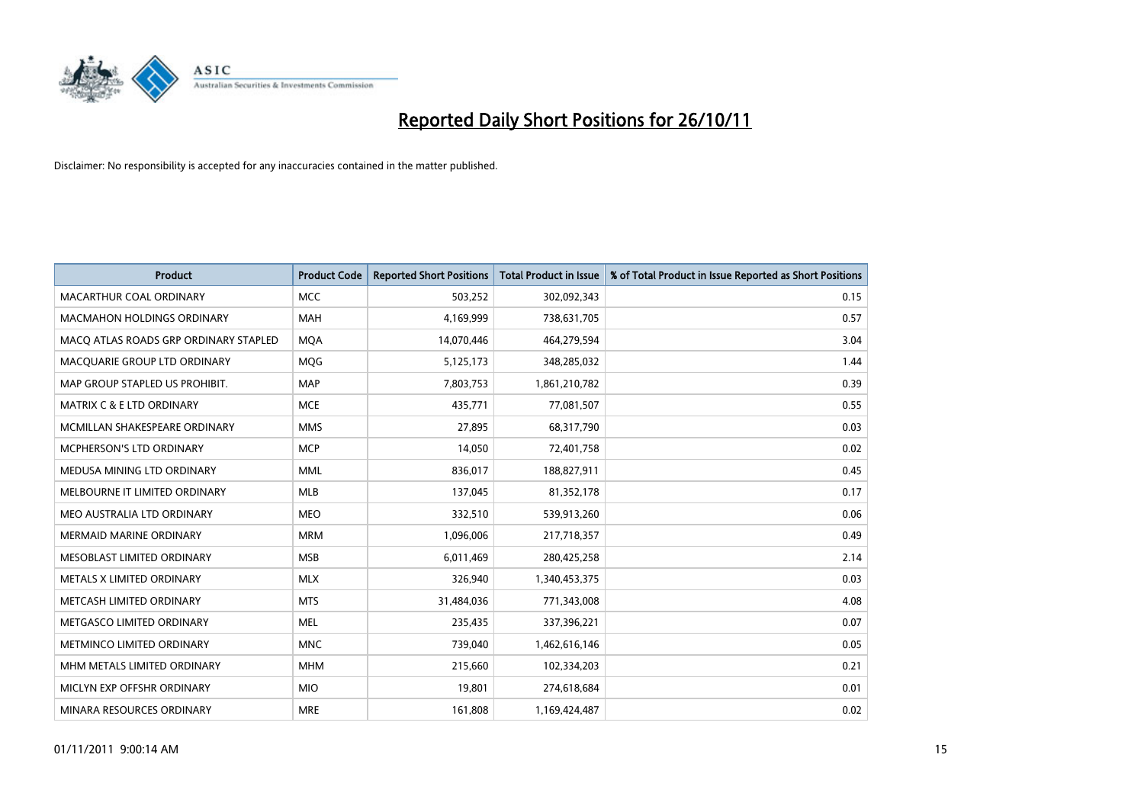

| <b>Product</b>                        | <b>Product Code</b> | <b>Reported Short Positions</b> | <b>Total Product in Issue</b> | % of Total Product in Issue Reported as Short Positions |
|---------------------------------------|---------------------|---------------------------------|-------------------------------|---------------------------------------------------------|
| <b>MACARTHUR COAL ORDINARY</b>        | <b>MCC</b>          | 503,252                         | 302,092,343                   | 0.15                                                    |
| MACMAHON HOLDINGS ORDINARY            | <b>MAH</b>          | 4,169,999                       | 738,631,705                   | 0.57                                                    |
| MACO ATLAS ROADS GRP ORDINARY STAPLED | <b>MOA</b>          | 14,070,446                      | 464,279,594                   | 3.04                                                    |
| MACQUARIE GROUP LTD ORDINARY          | MQG                 | 5,125,173                       | 348,285,032                   | 1.44                                                    |
| MAP GROUP STAPLED US PROHIBIT.        | <b>MAP</b>          | 7,803,753                       | 1,861,210,782                 | 0.39                                                    |
| <b>MATRIX C &amp; E LTD ORDINARY</b>  | <b>MCE</b>          | 435,771                         | 77,081,507                    | 0.55                                                    |
| MCMILLAN SHAKESPEARE ORDINARY         | <b>MMS</b>          | 27.895                          | 68,317,790                    | 0.03                                                    |
| MCPHERSON'S LTD ORDINARY              | <b>MCP</b>          | 14,050                          | 72,401,758                    | 0.02                                                    |
| MEDUSA MINING LTD ORDINARY            | <b>MML</b>          | 836,017                         | 188,827,911                   | 0.45                                                    |
| MELBOURNE IT LIMITED ORDINARY         | <b>MLB</b>          | 137,045                         | 81,352,178                    | 0.17                                                    |
| MEO AUSTRALIA LTD ORDINARY            | <b>MEO</b>          | 332,510                         | 539,913,260                   | 0.06                                                    |
| <b>MERMAID MARINE ORDINARY</b>        | <b>MRM</b>          | 1,096,006                       | 217,718,357                   | 0.49                                                    |
| MESOBLAST LIMITED ORDINARY            | <b>MSB</b>          | 6,011,469                       | 280,425,258                   | 2.14                                                    |
| METALS X LIMITED ORDINARY             | <b>MLX</b>          | 326,940                         | 1,340,453,375                 | 0.03                                                    |
| METCASH LIMITED ORDINARY              | <b>MTS</b>          | 31,484,036                      | 771,343,008                   | 4.08                                                    |
| METGASCO LIMITED ORDINARY             | <b>MEL</b>          | 235,435                         | 337,396,221                   | 0.07                                                    |
| METMINCO LIMITED ORDINARY             | <b>MNC</b>          | 739,040                         | 1,462,616,146                 | 0.05                                                    |
| MHM METALS LIMITED ORDINARY           | <b>MHM</b>          | 215,660                         | 102,334,203                   | 0.21                                                    |
| MICLYN EXP OFFSHR ORDINARY            | <b>MIO</b>          | 19,801                          | 274,618,684                   | 0.01                                                    |
| MINARA RESOURCES ORDINARY             | <b>MRE</b>          | 161.808                         | 1,169,424,487                 | 0.02                                                    |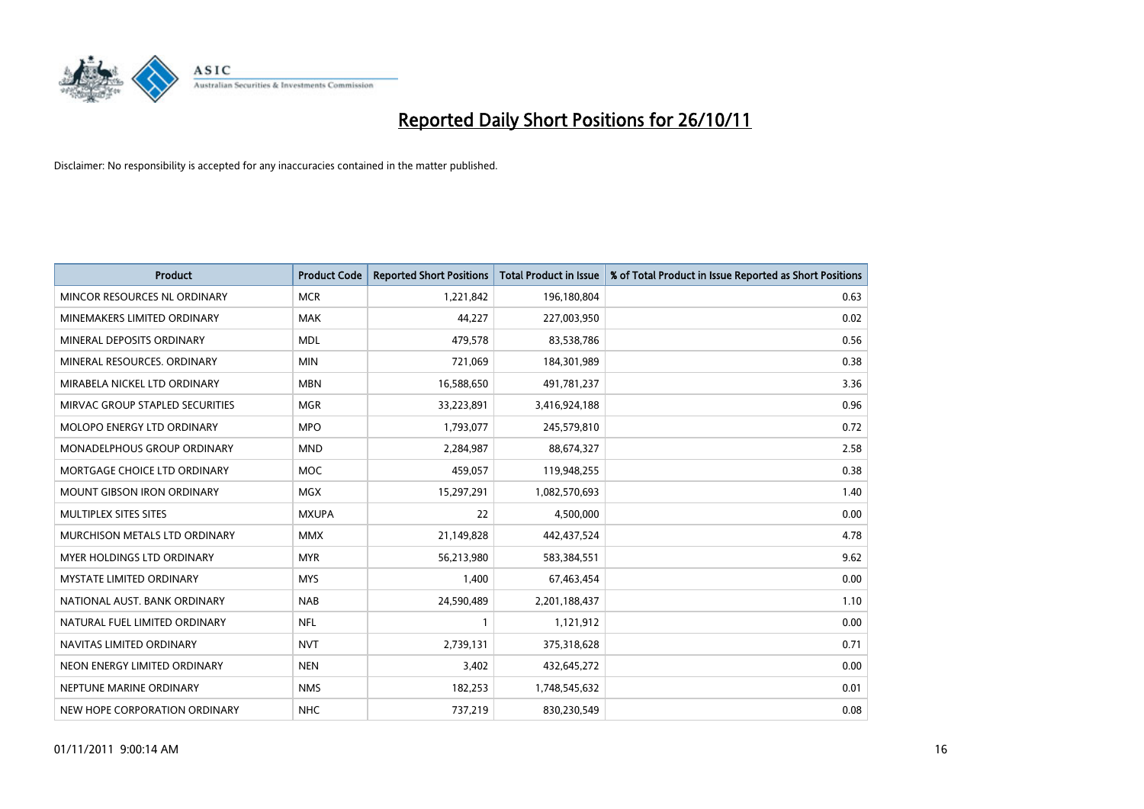

| <b>Product</b>                    | <b>Product Code</b> | <b>Reported Short Positions</b> | <b>Total Product in Issue</b> | % of Total Product in Issue Reported as Short Positions |
|-----------------------------------|---------------------|---------------------------------|-------------------------------|---------------------------------------------------------|
| MINCOR RESOURCES NL ORDINARY      | <b>MCR</b>          | 1,221,842                       | 196,180,804                   | 0.63                                                    |
| MINEMAKERS LIMITED ORDINARY       | <b>MAK</b>          | 44,227                          | 227,003,950                   | 0.02                                                    |
| MINERAL DEPOSITS ORDINARY         | <b>MDL</b>          | 479,578                         | 83,538,786                    | 0.56                                                    |
| MINERAL RESOURCES. ORDINARY       | <b>MIN</b>          | 721,069                         | 184,301,989                   | 0.38                                                    |
| MIRABELA NICKEL LTD ORDINARY      | <b>MBN</b>          | 16,588,650                      | 491,781,237                   | 3.36                                                    |
| MIRVAC GROUP STAPLED SECURITIES   | <b>MGR</b>          | 33,223,891                      | 3,416,924,188                 | 0.96                                                    |
| <b>MOLOPO ENERGY LTD ORDINARY</b> | <b>MPO</b>          | 1,793,077                       | 245,579,810                   | 0.72                                                    |
| MONADELPHOUS GROUP ORDINARY       | <b>MND</b>          | 2,284,987                       | 88,674,327                    | 2.58                                                    |
| MORTGAGE CHOICE LTD ORDINARY      | <b>MOC</b>          | 459.057                         | 119,948,255                   | 0.38                                                    |
| <b>MOUNT GIBSON IRON ORDINARY</b> | <b>MGX</b>          | 15,297,291                      | 1,082,570,693                 | 1.40                                                    |
| MULTIPLEX SITES SITES             | <b>MXUPA</b>        | 22                              | 4,500,000                     | 0.00                                                    |
| MURCHISON METALS LTD ORDINARY     | <b>MMX</b>          | 21,149,828                      | 442,437,524                   | 4.78                                                    |
| MYER HOLDINGS LTD ORDINARY        | <b>MYR</b>          | 56,213,980                      | 583,384,551                   | 9.62                                                    |
| <b>MYSTATE LIMITED ORDINARY</b>   | <b>MYS</b>          | 1,400                           | 67,463,454                    | 0.00                                                    |
| NATIONAL AUST, BANK ORDINARY      | <b>NAB</b>          | 24,590,489                      | 2,201,188,437                 | 1.10                                                    |
| NATURAL FUEL LIMITED ORDINARY     | <b>NFL</b>          |                                 | 1,121,912                     | 0.00                                                    |
| NAVITAS LIMITED ORDINARY          | <b>NVT</b>          | 2,739,131                       | 375,318,628                   | 0.71                                                    |
| NEON ENERGY LIMITED ORDINARY      | <b>NEN</b>          | 3,402                           | 432,645,272                   | 0.00                                                    |
| NEPTUNE MARINE ORDINARY           | <b>NMS</b>          | 182,253                         | 1,748,545,632                 | 0.01                                                    |
| NEW HOPE CORPORATION ORDINARY     | <b>NHC</b>          | 737,219                         | 830,230,549                   | 0.08                                                    |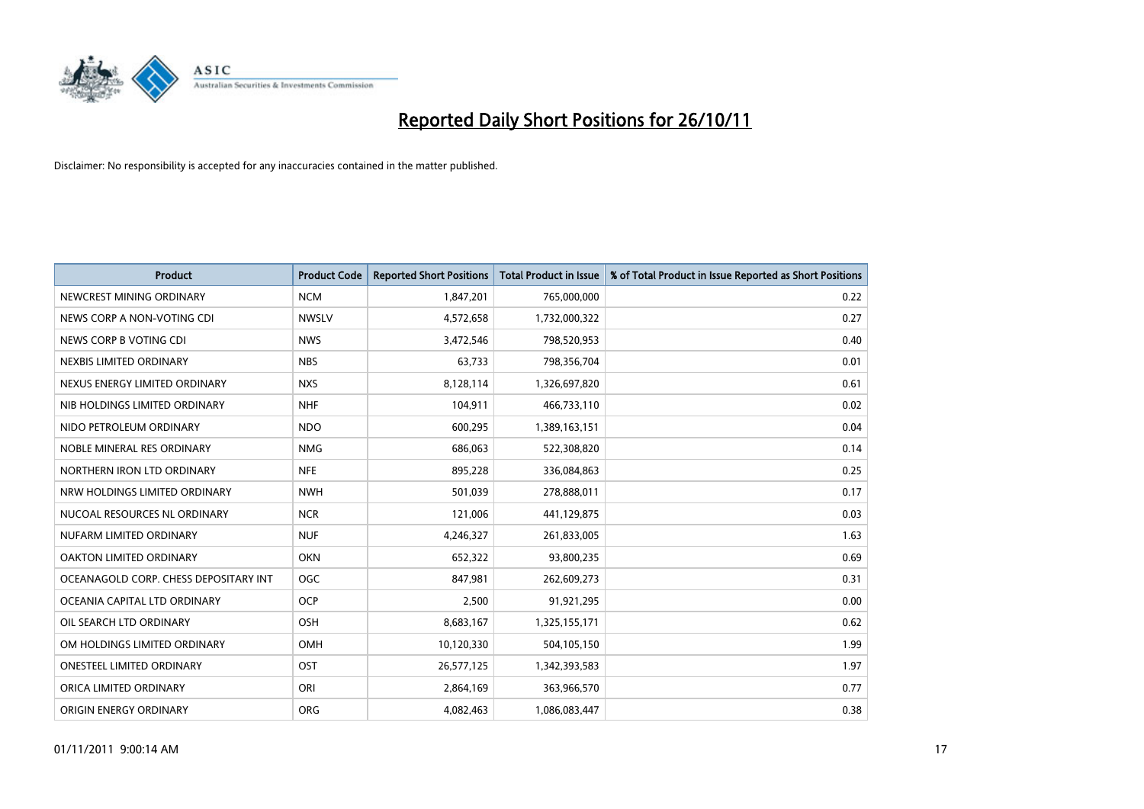

| <b>Product</b>                        | <b>Product Code</b> | <b>Reported Short Positions</b> | <b>Total Product in Issue</b> | % of Total Product in Issue Reported as Short Positions |
|---------------------------------------|---------------------|---------------------------------|-------------------------------|---------------------------------------------------------|
| NEWCREST MINING ORDINARY              | <b>NCM</b>          | 1,847,201                       | 765,000,000                   | 0.22                                                    |
| NEWS CORP A NON-VOTING CDI            | <b>NWSLV</b>        | 4,572,658                       | 1,732,000,322                 | 0.27                                                    |
| NEWS CORP B VOTING CDI                | <b>NWS</b>          | 3,472,546                       | 798,520,953                   | 0.40                                                    |
| NEXBIS LIMITED ORDINARY               | <b>NBS</b>          | 63,733                          | 798,356,704                   | 0.01                                                    |
| NEXUS ENERGY LIMITED ORDINARY         | <b>NXS</b>          | 8,128,114                       | 1,326,697,820                 | 0.61                                                    |
| NIB HOLDINGS LIMITED ORDINARY         | <b>NHF</b>          | 104,911                         | 466,733,110                   | 0.02                                                    |
| NIDO PETROLEUM ORDINARY               | <b>NDO</b>          | 600,295                         | 1,389,163,151                 | 0.04                                                    |
| NOBLE MINERAL RES ORDINARY            | <b>NMG</b>          | 686,063                         | 522,308,820                   | 0.14                                                    |
| NORTHERN IRON LTD ORDINARY            | <b>NFE</b>          | 895,228                         | 336,084,863                   | 0.25                                                    |
| NRW HOLDINGS LIMITED ORDINARY         | <b>NWH</b>          | 501,039                         | 278,888,011                   | 0.17                                                    |
| NUCOAL RESOURCES NL ORDINARY          | <b>NCR</b>          | 121,006                         | 441,129,875                   | 0.03                                                    |
| NUFARM LIMITED ORDINARY               | <b>NUF</b>          | 4,246,327                       | 261,833,005                   | 1.63                                                    |
| OAKTON LIMITED ORDINARY               | <b>OKN</b>          | 652,322                         | 93,800,235                    | 0.69                                                    |
| OCEANAGOLD CORP. CHESS DEPOSITARY INT | <b>OGC</b>          | 847,981                         | 262,609,273                   | 0.31                                                    |
| OCEANIA CAPITAL LTD ORDINARY          | <b>OCP</b>          | 2,500                           | 91,921,295                    | 0.00                                                    |
| OIL SEARCH LTD ORDINARY               | OSH                 | 8,683,167                       | 1,325,155,171                 | 0.62                                                    |
| OM HOLDINGS LIMITED ORDINARY          | OMH                 | 10,120,330                      | 504,105,150                   | 1.99                                                    |
| ONESTEEL LIMITED ORDINARY             | OST                 | 26,577,125                      | 1,342,393,583                 | 1.97                                                    |
| ORICA LIMITED ORDINARY                | ORI                 | 2,864,169                       | 363,966,570                   | 0.77                                                    |
| ORIGIN ENERGY ORDINARY                | <b>ORG</b>          | 4.082.463                       | 1,086,083,447                 | 0.38                                                    |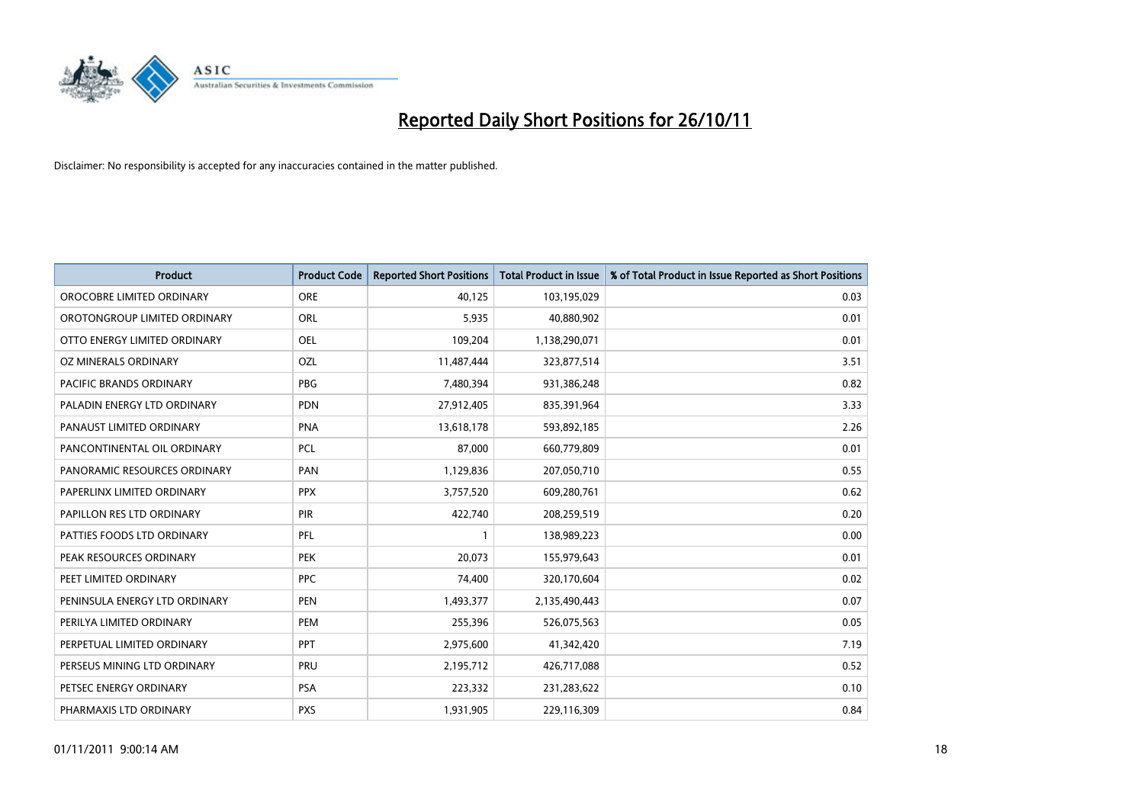

| <b>Product</b>                | <b>Product Code</b> | <b>Reported Short Positions</b> | <b>Total Product in Issue</b> | % of Total Product in Issue Reported as Short Positions |
|-------------------------------|---------------------|---------------------------------|-------------------------------|---------------------------------------------------------|
| OROCOBRE LIMITED ORDINARY     | <b>ORE</b>          | 40,125                          | 103,195,029                   | 0.03                                                    |
| OROTONGROUP LIMITED ORDINARY  | <b>ORL</b>          | 5,935                           | 40,880,902                    | 0.01                                                    |
| OTTO ENERGY LIMITED ORDINARY  | <b>OEL</b>          | 109,204                         | 1,138,290,071                 | 0.01                                                    |
| OZ MINERALS ORDINARY          | OZL                 | 11,487,444                      | 323,877,514                   | 3.51                                                    |
| PACIFIC BRANDS ORDINARY       | <b>PBG</b>          | 7,480,394                       | 931,386,248                   | 0.82                                                    |
| PALADIN ENERGY LTD ORDINARY   | <b>PDN</b>          | 27,912,405                      | 835,391,964                   | 3.33                                                    |
| PANAUST LIMITED ORDINARY      | <b>PNA</b>          | 13,618,178                      | 593,892,185                   | 2.26                                                    |
| PANCONTINENTAL OIL ORDINARY   | PCL                 | 87,000                          | 660,779,809                   | 0.01                                                    |
| PANORAMIC RESOURCES ORDINARY  | PAN                 | 1,129,836                       | 207,050,710                   | 0.55                                                    |
| PAPERLINX LIMITED ORDINARY    | <b>PPX</b>          | 3,757,520                       | 609,280,761                   | 0.62                                                    |
| PAPILLON RES LTD ORDINARY     | <b>PIR</b>          | 422,740                         | 208,259,519                   | 0.20                                                    |
| PATTIES FOODS LTD ORDINARY    | PFL                 |                                 | 138,989,223                   | 0.00                                                    |
| PEAK RESOURCES ORDINARY       | <b>PEK</b>          | 20,073                          | 155,979,643                   | 0.01                                                    |
| PEET LIMITED ORDINARY         | <b>PPC</b>          | 74,400                          | 320,170,604                   | 0.02                                                    |
| PENINSULA ENERGY LTD ORDINARY | <b>PEN</b>          | 1,493,377                       | 2,135,490,443                 | 0.07                                                    |
| PERILYA LIMITED ORDINARY      | PEM                 | 255,396                         | 526,075,563                   | 0.05                                                    |
| PERPETUAL LIMITED ORDINARY    | PPT                 | 2,975,600                       | 41,342,420                    | 7.19                                                    |
| PERSEUS MINING LTD ORDINARY   | PRU                 | 2,195,712                       | 426,717,088                   | 0.52                                                    |
| PETSEC ENERGY ORDINARY        | <b>PSA</b>          | 223,332                         | 231,283,622                   | 0.10                                                    |
| PHARMAXIS LTD ORDINARY        | <b>PXS</b>          | 1,931,905                       | 229,116,309                   | 0.84                                                    |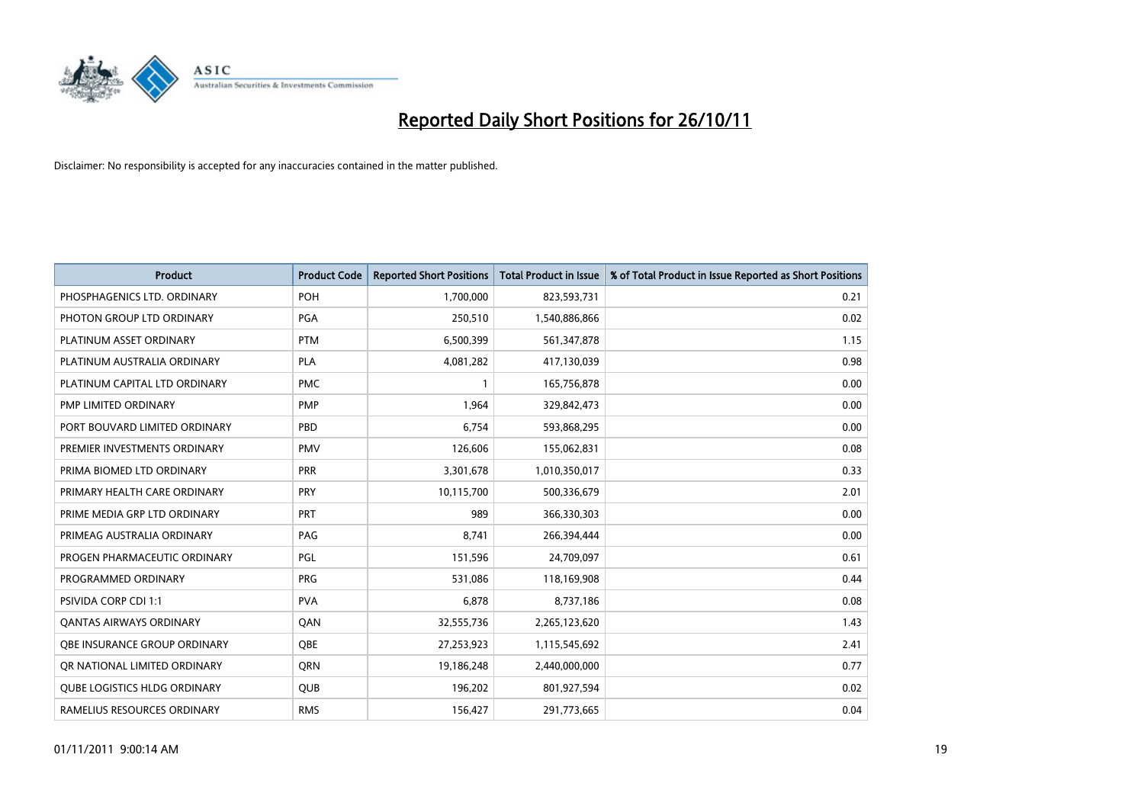

| <b>Product</b>                      | <b>Product Code</b> | <b>Reported Short Positions</b> | <b>Total Product in Issue</b> | % of Total Product in Issue Reported as Short Positions |
|-------------------------------------|---------------------|---------------------------------|-------------------------------|---------------------------------------------------------|
| PHOSPHAGENICS LTD. ORDINARY         | POH                 | 1,700,000                       | 823,593,731                   | 0.21                                                    |
| PHOTON GROUP LTD ORDINARY           | PGA                 | 250,510                         | 1,540,886,866                 | 0.02                                                    |
| PLATINUM ASSET ORDINARY             | <b>PTM</b>          | 6,500,399                       | 561,347,878                   | 1.15                                                    |
| PLATINUM AUSTRALIA ORDINARY         | <b>PLA</b>          | 4,081,282                       | 417,130,039                   | 0.98                                                    |
| PLATINUM CAPITAL LTD ORDINARY       | <b>PMC</b>          |                                 | 165,756,878                   | 0.00                                                    |
| PMP LIMITED ORDINARY                | <b>PMP</b>          | 1,964                           | 329,842,473                   | 0.00                                                    |
| PORT BOUVARD LIMITED ORDINARY       | PBD                 | 6.754                           | 593,868,295                   | 0.00                                                    |
| PREMIER INVESTMENTS ORDINARY        | <b>PMV</b>          | 126,606                         | 155,062,831                   | 0.08                                                    |
| PRIMA BIOMED LTD ORDINARY           | <b>PRR</b>          | 3,301,678                       | 1,010,350,017                 | 0.33                                                    |
| PRIMARY HEALTH CARE ORDINARY        | <b>PRY</b>          | 10,115,700                      | 500,336,679                   | 2.01                                                    |
| PRIME MEDIA GRP LTD ORDINARY        | <b>PRT</b>          | 989                             | 366,330,303                   | 0.00                                                    |
| PRIMEAG AUSTRALIA ORDINARY          | PAG                 | 8.741                           | 266,394,444                   | 0.00                                                    |
| PROGEN PHARMACEUTIC ORDINARY        | PGL                 | 151,596                         | 24,709,097                    | 0.61                                                    |
| PROGRAMMED ORDINARY                 | <b>PRG</b>          | 531,086                         | 118,169,908                   | 0.44                                                    |
| <b>PSIVIDA CORP CDI 1:1</b>         | <b>PVA</b>          | 6,878                           | 8,737,186                     | 0.08                                                    |
| <b>QANTAS AIRWAYS ORDINARY</b>      | QAN                 | 32,555,736                      | 2,265,123,620                 | 1.43                                                    |
| <b>OBE INSURANCE GROUP ORDINARY</b> | <b>OBE</b>          | 27,253,923                      | 1,115,545,692                 | 2.41                                                    |
| OR NATIONAL LIMITED ORDINARY        | <b>ORN</b>          | 19,186,248                      | 2,440,000,000                 | 0.77                                                    |
| <b>OUBE LOGISTICS HLDG ORDINARY</b> | <b>OUB</b>          | 196,202                         | 801,927,594                   | 0.02                                                    |
| RAMELIUS RESOURCES ORDINARY         | <b>RMS</b>          | 156.427                         | 291,773,665                   | 0.04                                                    |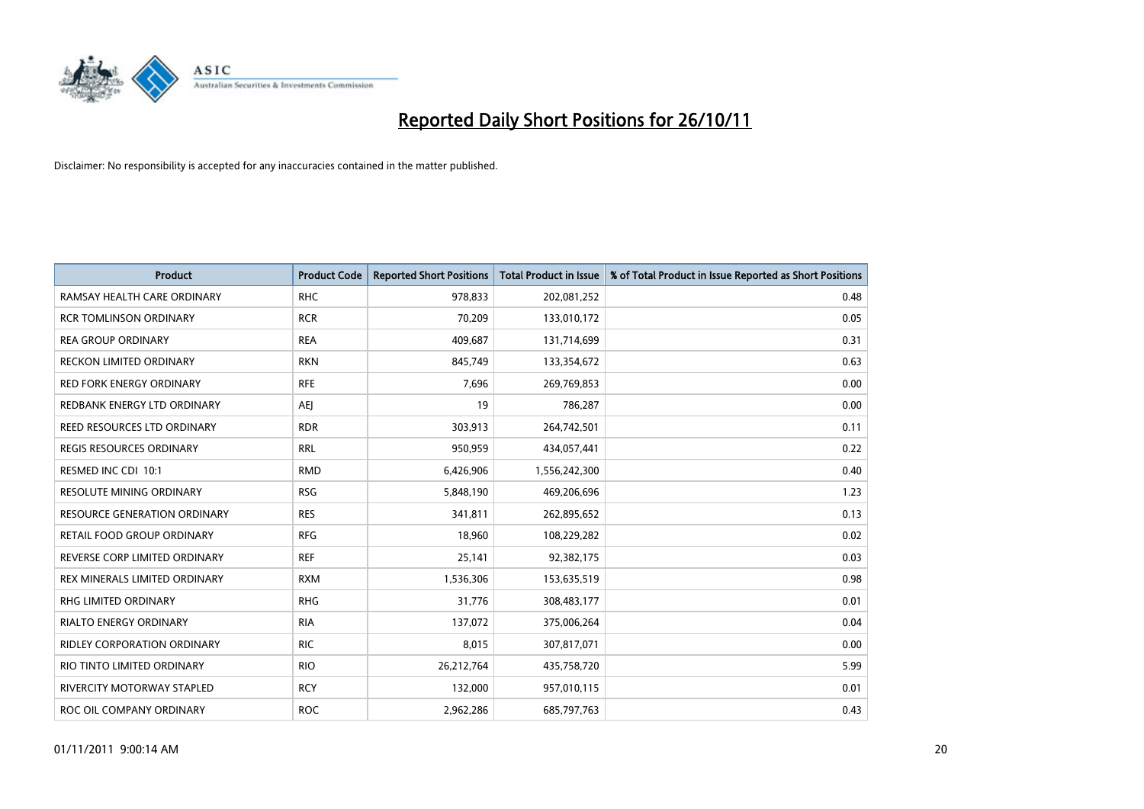

| <b>Product</b>                  | <b>Product Code</b> | <b>Reported Short Positions</b> | <b>Total Product in Issue</b> | % of Total Product in Issue Reported as Short Positions |
|---------------------------------|---------------------|---------------------------------|-------------------------------|---------------------------------------------------------|
| RAMSAY HEALTH CARE ORDINARY     | <b>RHC</b>          | 978,833                         | 202,081,252                   | 0.48                                                    |
| <b>RCR TOMLINSON ORDINARY</b>   | <b>RCR</b>          | 70,209                          | 133,010,172                   | 0.05                                                    |
| <b>REA GROUP ORDINARY</b>       | <b>REA</b>          | 409,687                         | 131,714,699                   | 0.31                                                    |
| RECKON LIMITED ORDINARY         | <b>RKN</b>          | 845,749                         | 133,354,672                   | 0.63                                                    |
| <b>RED FORK ENERGY ORDINARY</b> | <b>RFE</b>          | 7,696                           | 269,769,853                   | 0.00                                                    |
| REDBANK ENERGY LTD ORDINARY     | AEJ                 | 19                              | 786,287                       | 0.00                                                    |
| REED RESOURCES LTD ORDINARY     | <b>RDR</b>          | 303,913                         | 264,742,501                   | 0.11                                                    |
| REGIS RESOURCES ORDINARY        | <b>RRL</b>          | 950,959                         | 434,057,441                   | 0.22                                                    |
| RESMED INC CDI 10:1             | <b>RMD</b>          | 6,426,906                       | 1,556,242,300                 | 0.40                                                    |
| <b>RESOLUTE MINING ORDINARY</b> | <b>RSG</b>          | 5,848,190                       | 469,206,696                   | 1.23                                                    |
| RESOURCE GENERATION ORDINARY    | <b>RES</b>          | 341,811                         | 262,895,652                   | 0.13                                                    |
| RETAIL FOOD GROUP ORDINARY      | <b>RFG</b>          | 18,960                          | 108,229,282                   | 0.02                                                    |
| REVERSE CORP LIMITED ORDINARY   | <b>REF</b>          | 25,141                          | 92,382,175                    | 0.03                                                    |
| REX MINERALS LIMITED ORDINARY   | <b>RXM</b>          | 1,536,306                       | 153,635,519                   | 0.98                                                    |
| <b>RHG LIMITED ORDINARY</b>     | <b>RHG</b>          | 31,776                          | 308,483,177                   | 0.01                                                    |
| RIALTO ENERGY ORDINARY          | <b>RIA</b>          | 137,072                         | 375,006,264                   | 0.04                                                    |
| RIDLEY CORPORATION ORDINARY     | <b>RIC</b>          | 8,015                           | 307,817,071                   | 0.00                                                    |
| RIO TINTO LIMITED ORDINARY      | <b>RIO</b>          | 26,212,764                      | 435,758,720                   | 5.99                                                    |
| RIVERCITY MOTORWAY STAPLED      | <b>RCY</b>          | 132,000                         | 957,010,115                   | 0.01                                                    |
| ROC OIL COMPANY ORDINARY        | <b>ROC</b>          | 2,962,286                       | 685,797,763                   | 0.43                                                    |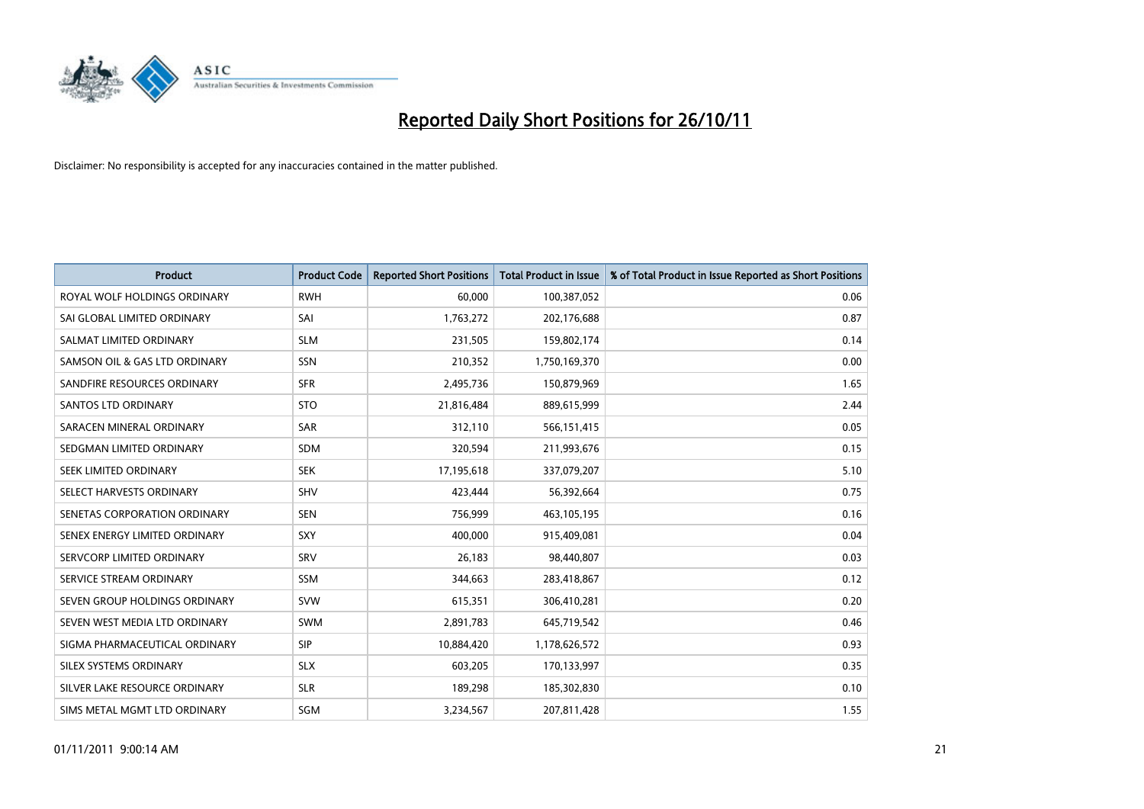

| <b>Product</b>                | <b>Product Code</b> | <b>Reported Short Positions</b> | <b>Total Product in Issue</b> | % of Total Product in Issue Reported as Short Positions |
|-------------------------------|---------------------|---------------------------------|-------------------------------|---------------------------------------------------------|
| ROYAL WOLF HOLDINGS ORDINARY  | <b>RWH</b>          | 60.000                          | 100,387,052                   | 0.06                                                    |
| SAI GLOBAL LIMITED ORDINARY   | SAI                 | 1,763,272                       | 202,176,688                   | 0.87                                                    |
| SALMAT LIMITED ORDINARY       | <b>SLM</b>          | 231,505                         | 159,802,174                   | 0.14                                                    |
| SAMSON OIL & GAS LTD ORDINARY | SSN                 | 210,352                         | 1,750,169,370                 | 0.00                                                    |
| SANDFIRE RESOURCES ORDINARY   | <b>SFR</b>          | 2,495,736                       | 150,879,969                   | 1.65                                                    |
| <b>SANTOS LTD ORDINARY</b>    | <b>STO</b>          | 21,816,484                      | 889,615,999                   | 2.44                                                    |
| SARACEN MINERAL ORDINARY      | <b>SAR</b>          | 312,110                         | 566,151,415                   | 0.05                                                    |
| SEDGMAN LIMITED ORDINARY      | <b>SDM</b>          | 320,594                         | 211,993,676                   | 0.15                                                    |
| SEEK LIMITED ORDINARY         | <b>SEK</b>          | 17,195,618                      | 337,079,207                   | 5.10                                                    |
| SELECT HARVESTS ORDINARY      | <b>SHV</b>          | 423,444                         | 56,392,664                    | 0.75                                                    |
| SENETAS CORPORATION ORDINARY  | <b>SEN</b>          | 756,999                         | 463,105,195                   | 0.16                                                    |
| SENEX ENERGY LIMITED ORDINARY | <b>SXY</b>          | 400,000                         | 915,409,081                   | 0.04                                                    |
| SERVCORP LIMITED ORDINARY     | SRV                 | 26,183                          | 98,440,807                    | 0.03                                                    |
| SERVICE STREAM ORDINARY       | SSM                 | 344,663                         | 283,418,867                   | 0.12                                                    |
| SEVEN GROUP HOLDINGS ORDINARY | <b>SVW</b>          | 615,351                         | 306,410,281                   | 0.20                                                    |
| SEVEN WEST MEDIA LTD ORDINARY | <b>SWM</b>          | 2,891,783                       | 645,719,542                   | 0.46                                                    |
| SIGMA PHARMACEUTICAL ORDINARY | <b>SIP</b>          | 10,884,420                      | 1,178,626,572                 | 0.93                                                    |
| SILEX SYSTEMS ORDINARY        | <b>SLX</b>          | 603,205                         | 170,133,997                   | 0.35                                                    |
| SILVER LAKE RESOURCE ORDINARY | <b>SLR</b>          | 189,298                         | 185,302,830                   | 0.10                                                    |
| SIMS METAL MGMT LTD ORDINARY  | <b>SGM</b>          | 3,234,567                       | 207,811,428                   | 1.55                                                    |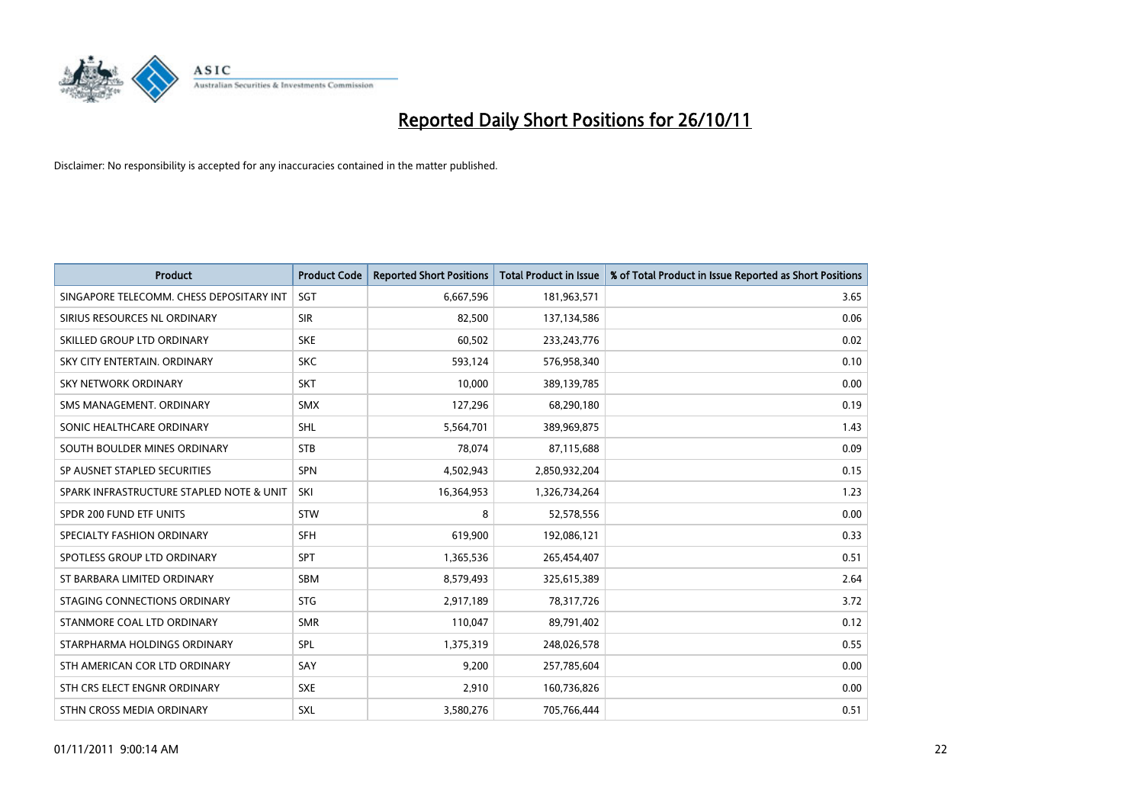

| <b>Product</b>                           | <b>Product Code</b> | <b>Reported Short Positions</b> | <b>Total Product in Issue</b> | % of Total Product in Issue Reported as Short Positions |
|------------------------------------------|---------------------|---------------------------------|-------------------------------|---------------------------------------------------------|
| SINGAPORE TELECOMM. CHESS DEPOSITARY INT | SGT                 | 6,667,596                       | 181,963,571                   | 3.65                                                    |
| SIRIUS RESOURCES NL ORDINARY             | <b>SIR</b>          | 82,500                          | 137,134,586                   | 0.06                                                    |
| SKILLED GROUP LTD ORDINARY               | <b>SKE</b>          | 60,502                          | 233, 243, 776                 | 0.02                                                    |
| SKY CITY ENTERTAIN. ORDINARY             | <b>SKC</b>          | 593,124                         | 576,958,340                   | 0.10                                                    |
| <b>SKY NETWORK ORDINARY</b>              | <b>SKT</b>          | 10,000                          | 389,139,785                   | 0.00                                                    |
| SMS MANAGEMENT, ORDINARY                 | <b>SMX</b>          | 127,296                         | 68,290,180                    | 0.19                                                    |
| SONIC HEALTHCARE ORDINARY                | <b>SHL</b>          | 5,564,701                       | 389,969,875                   | 1.43                                                    |
| SOUTH BOULDER MINES ORDINARY             | <b>STB</b>          | 78,074                          | 87,115,688                    | 0.09                                                    |
| SP AUSNET STAPLED SECURITIES             | SPN                 | 4,502,943                       | 2,850,932,204                 | 0.15                                                    |
| SPARK INFRASTRUCTURE STAPLED NOTE & UNIT | SKI                 | 16,364,953                      | 1,326,734,264                 | 1.23                                                    |
| SPDR 200 FUND ETF UNITS                  | <b>STW</b>          | 8                               | 52,578,556                    | 0.00                                                    |
| SPECIALTY FASHION ORDINARY               | <b>SFH</b>          | 619,900                         | 192,086,121                   | 0.33                                                    |
| SPOTLESS GROUP LTD ORDINARY              | <b>SPT</b>          | 1,365,536                       | 265,454,407                   | 0.51                                                    |
| ST BARBARA LIMITED ORDINARY              | <b>SBM</b>          | 8,579,493                       | 325,615,389                   | 2.64                                                    |
| STAGING CONNECTIONS ORDINARY             | <b>STG</b>          | 2,917,189                       | 78,317,726                    | 3.72                                                    |
| STANMORE COAL LTD ORDINARY               | <b>SMR</b>          | 110,047                         | 89,791,402                    | 0.12                                                    |
| STARPHARMA HOLDINGS ORDINARY             | SPL                 | 1,375,319                       | 248,026,578                   | 0.55                                                    |
| STH AMERICAN COR LTD ORDINARY            | SAY                 | 9,200                           | 257,785,604                   | 0.00                                                    |
| STH CRS ELECT ENGNR ORDINARY             | <b>SXE</b>          | 2,910                           | 160,736,826                   | 0.00                                                    |
| STHN CROSS MEDIA ORDINARY                | <b>SXL</b>          | 3,580,276                       | 705,766,444                   | 0.51                                                    |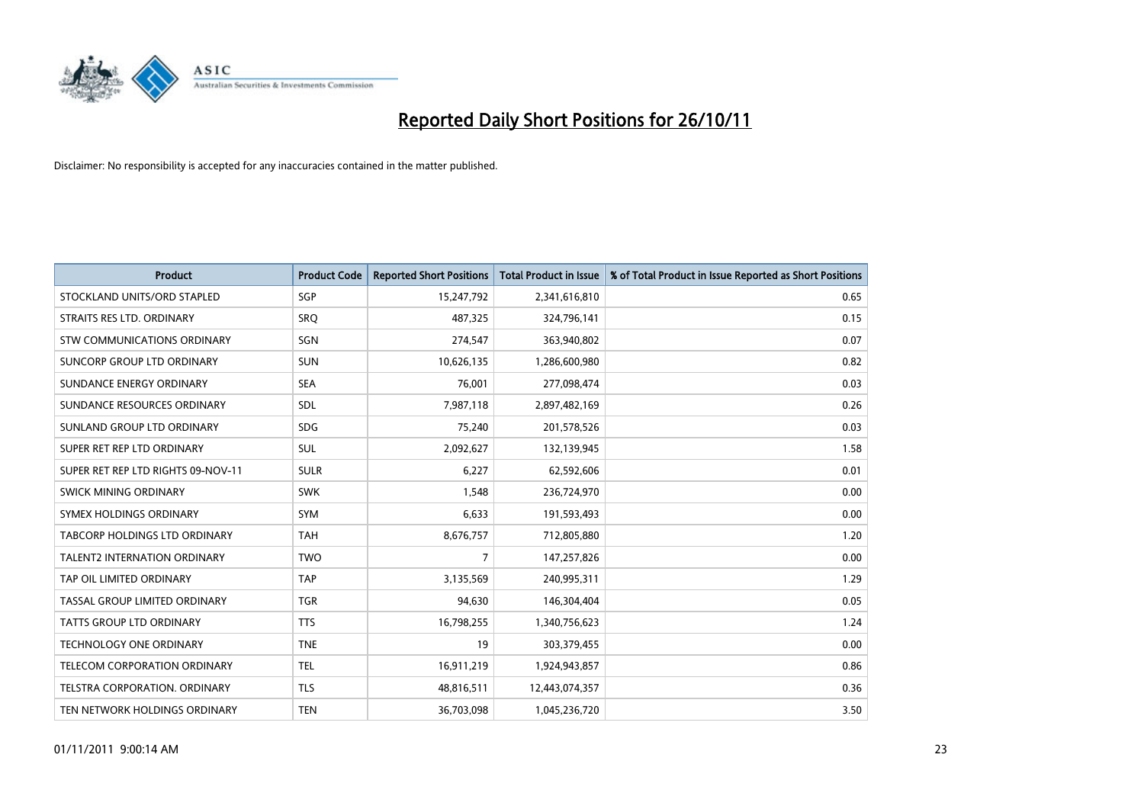

| <b>Product</b>                     | <b>Product Code</b> | <b>Reported Short Positions</b> | <b>Total Product in Issue</b> | % of Total Product in Issue Reported as Short Positions |
|------------------------------------|---------------------|---------------------------------|-------------------------------|---------------------------------------------------------|
| STOCKLAND UNITS/ORD STAPLED        | <b>SGP</b>          | 15,247,792                      | 2,341,616,810                 | 0.65                                                    |
| STRAITS RES LTD. ORDINARY          | SRO                 | 487,325                         | 324,796,141                   | 0.15                                                    |
| STW COMMUNICATIONS ORDINARY        | SGN                 | 274,547                         | 363,940,802                   | 0.07                                                    |
| SUNCORP GROUP LTD ORDINARY         | <b>SUN</b>          | 10,626,135                      | 1,286,600,980                 | 0.82                                                    |
| SUNDANCE ENERGY ORDINARY           | <b>SEA</b>          | 76,001                          | 277,098,474                   | 0.03                                                    |
| SUNDANCE RESOURCES ORDINARY        | <b>SDL</b>          | 7,987,118                       | 2,897,482,169                 | 0.26                                                    |
| SUNLAND GROUP LTD ORDINARY         | <b>SDG</b>          | 75,240                          | 201,578,526                   | 0.03                                                    |
| SUPER RET REP LTD ORDINARY         | <b>SUL</b>          | 2,092,627                       | 132,139,945                   | 1.58                                                    |
| SUPER RET REP LTD RIGHTS 09-NOV-11 | <b>SULR</b>         | 6,227                           | 62,592,606                    | 0.01                                                    |
| SWICK MINING ORDINARY              | <b>SWK</b>          | 1,548                           | 236,724,970                   | 0.00                                                    |
| SYMEX HOLDINGS ORDINARY            | <b>SYM</b>          | 6,633                           | 191,593,493                   | 0.00                                                    |
| TABCORP HOLDINGS LTD ORDINARY      | <b>TAH</b>          | 8,676,757                       | 712,805,880                   | 1.20                                                    |
| TALENT2 INTERNATION ORDINARY       | <b>TWO</b>          | 7                               | 147,257,826                   | 0.00                                                    |
| TAP OIL LIMITED ORDINARY           | <b>TAP</b>          | 3,135,569                       | 240,995,311                   | 1.29                                                    |
| TASSAL GROUP LIMITED ORDINARY      | <b>TGR</b>          | 94,630                          | 146,304,404                   | 0.05                                                    |
| <b>TATTS GROUP LTD ORDINARY</b>    | <b>TTS</b>          | 16,798,255                      | 1,340,756,623                 | 1.24                                                    |
| TECHNOLOGY ONE ORDINARY            | <b>TNE</b>          | 19                              | 303,379,455                   | 0.00                                                    |
| TELECOM CORPORATION ORDINARY       | <b>TEL</b>          | 16,911,219                      | 1,924,943,857                 | 0.86                                                    |
| TELSTRA CORPORATION, ORDINARY      | <b>TLS</b>          | 48,816,511                      | 12,443,074,357                | 0.36                                                    |
| TEN NETWORK HOLDINGS ORDINARY      | <b>TEN</b>          | 36,703,098                      | 1,045,236,720                 | 3.50                                                    |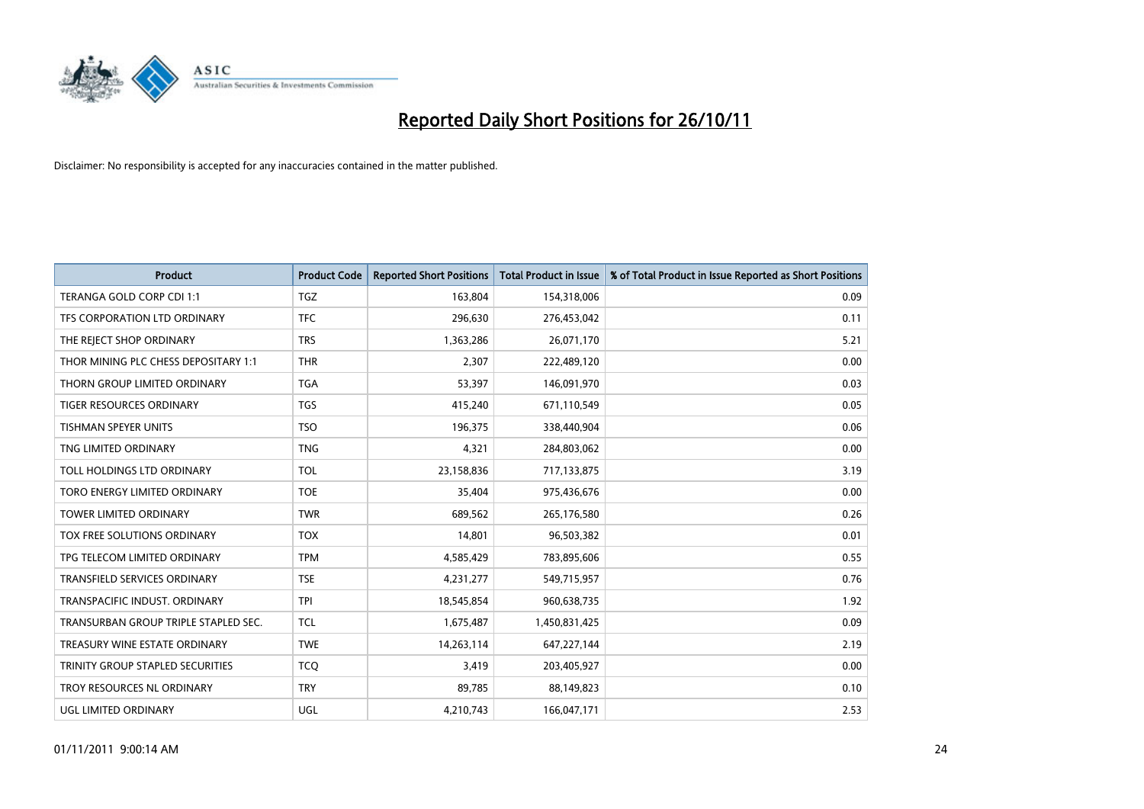

| <b>Product</b>                       | <b>Product Code</b> | <b>Reported Short Positions</b> | Total Product in Issue | % of Total Product in Issue Reported as Short Positions |
|--------------------------------------|---------------------|---------------------------------|------------------------|---------------------------------------------------------|
| TERANGA GOLD CORP CDI 1:1            | <b>TGZ</b>          | 163,804                         | 154,318,006            | 0.09                                                    |
| TFS CORPORATION LTD ORDINARY         | <b>TFC</b>          | 296,630                         | 276,453,042            | 0.11                                                    |
| THE REJECT SHOP ORDINARY             | <b>TRS</b>          | 1,363,286                       | 26,071,170             | 5.21                                                    |
| THOR MINING PLC CHESS DEPOSITARY 1:1 | <b>THR</b>          | 2,307                           | 222,489,120            | 0.00                                                    |
| THORN GROUP LIMITED ORDINARY         | <b>TGA</b>          | 53,397                          | 146,091,970            | 0.03                                                    |
| <b>TIGER RESOURCES ORDINARY</b>      | <b>TGS</b>          | 415,240                         | 671,110,549            | 0.05                                                    |
| <b>TISHMAN SPEYER UNITS</b>          | <b>TSO</b>          | 196,375                         | 338,440,904            | 0.06                                                    |
| TNG LIMITED ORDINARY                 | <b>TNG</b>          | 4,321                           | 284,803,062            | 0.00                                                    |
| TOLL HOLDINGS LTD ORDINARY           | <b>TOL</b>          | 23,158,836                      | 717,133,875            | 3.19                                                    |
| TORO ENERGY LIMITED ORDINARY         | <b>TOE</b>          | 35,404                          | 975,436,676            | 0.00                                                    |
| TOWER LIMITED ORDINARY               | <b>TWR</b>          | 689,562                         | 265,176,580            | 0.26                                                    |
| TOX FREE SOLUTIONS ORDINARY          | <b>TOX</b>          | 14,801                          | 96,503,382             | 0.01                                                    |
| TPG TELECOM LIMITED ORDINARY         | <b>TPM</b>          | 4,585,429                       | 783,895,606            | 0.55                                                    |
| <b>TRANSFIELD SERVICES ORDINARY</b>  | <b>TSE</b>          | 4,231,277                       | 549,715,957            | 0.76                                                    |
| TRANSPACIFIC INDUST, ORDINARY        | <b>TPI</b>          | 18,545,854                      | 960,638,735            | 1.92                                                    |
| TRANSURBAN GROUP TRIPLE STAPLED SEC. | <b>TCL</b>          | 1,675,487                       | 1,450,831,425          | 0.09                                                    |
| TREASURY WINE ESTATE ORDINARY        | <b>TWE</b>          | 14,263,114                      | 647,227,144            | 2.19                                                    |
| TRINITY GROUP STAPLED SECURITIES     | <b>TCQ</b>          | 3,419                           | 203,405,927            | 0.00                                                    |
| TROY RESOURCES NL ORDINARY           | <b>TRY</b>          | 89,785                          | 88,149,823             | 0.10                                                    |
| UGL LIMITED ORDINARY                 | <b>UGL</b>          | 4,210,743                       | 166,047,171            | 2.53                                                    |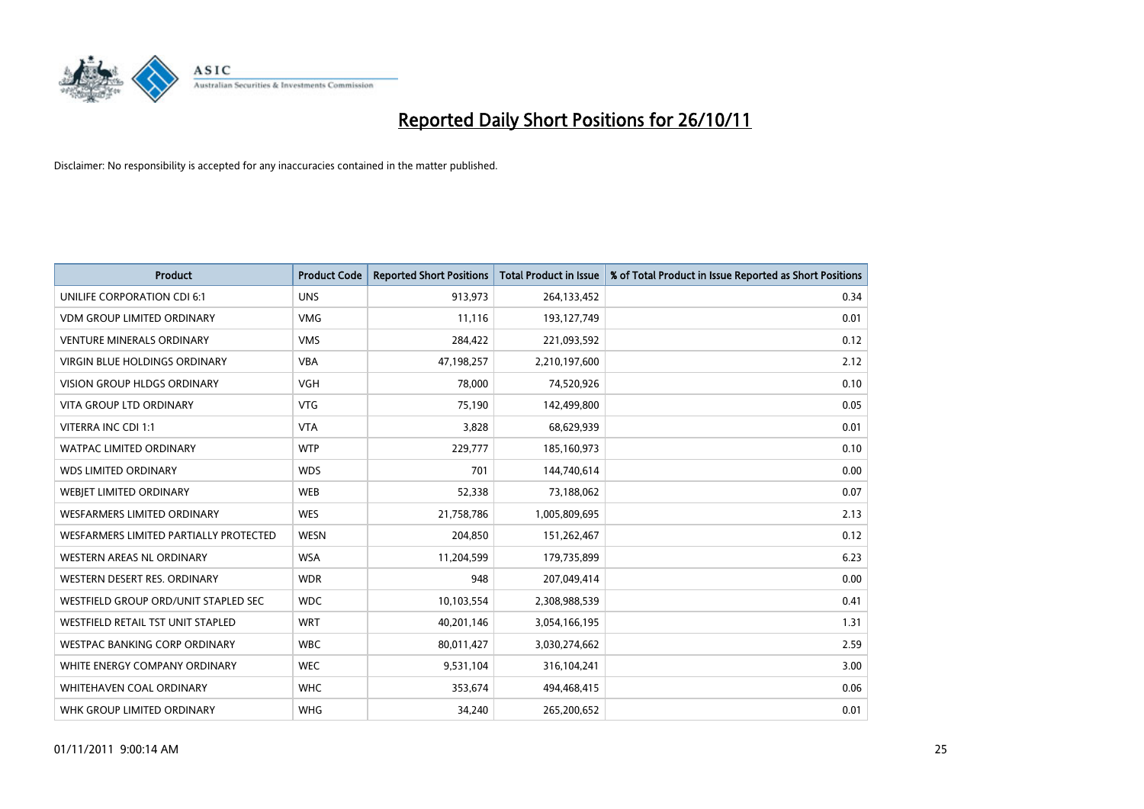

| <b>Product</b>                         | <b>Product Code</b> | <b>Reported Short Positions</b> | <b>Total Product in Issue</b> | % of Total Product in Issue Reported as Short Positions |
|----------------------------------------|---------------------|---------------------------------|-------------------------------|---------------------------------------------------------|
| UNILIFE CORPORATION CDI 6:1            | <b>UNS</b>          | 913,973                         | 264,133,452                   | 0.34                                                    |
| <b>VDM GROUP LIMITED ORDINARY</b>      | <b>VMG</b>          | 11,116                          | 193,127,749                   | 0.01                                                    |
| <b>VENTURE MINERALS ORDINARY</b>       | <b>VMS</b>          | 284,422                         | 221,093,592                   | 0.12                                                    |
| VIRGIN BLUE HOLDINGS ORDINARY          | <b>VBA</b>          | 47,198,257                      | 2,210,197,600                 | 2.12                                                    |
| <b>VISION GROUP HLDGS ORDINARY</b>     | <b>VGH</b>          | 78,000                          | 74,520,926                    | 0.10                                                    |
| <b>VITA GROUP LTD ORDINARY</b>         | <b>VTG</b>          | 75,190                          | 142,499,800                   | 0.05                                                    |
| VITERRA INC CDI 1:1                    | <b>VTA</b>          | 3,828                           | 68,629,939                    | 0.01                                                    |
| WATPAC LIMITED ORDINARY                | <b>WTP</b>          | 229,777                         | 185,160,973                   | 0.10                                                    |
| <b>WDS LIMITED ORDINARY</b>            | <b>WDS</b>          | 701                             | 144,740,614                   | 0.00                                                    |
| WEBIET LIMITED ORDINARY                | <b>WEB</b>          | 52,338                          | 73,188,062                    | 0.07                                                    |
| WESFARMERS LIMITED ORDINARY            | <b>WES</b>          | 21,758,786                      | 1,005,809,695                 | 2.13                                                    |
| WESFARMERS LIMITED PARTIALLY PROTECTED | <b>WESN</b>         | 204,850                         | 151,262,467                   | 0.12                                                    |
| WESTERN AREAS NL ORDINARY              | <b>WSA</b>          | 11,204,599                      | 179,735,899                   | 6.23                                                    |
| WESTERN DESERT RES. ORDINARY           | <b>WDR</b>          | 948                             | 207,049,414                   | 0.00                                                    |
| WESTFIELD GROUP ORD/UNIT STAPLED SEC   | <b>WDC</b>          | 10,103,554                      | 2,308,988,539                 | 0.41                                                    |
| WESTFIELD RETAIL TST UNIT STAPLED      | <b>WRT</b>          | 40,201,146                      | 3,054,166,195                 | 1.31                                                    |
| WESTPAC BANKING CORP ORDINARY          | <b>WBC</b>          | 80,011,427                      | 3,030,274,662                 | 2.59                                                    |
| WHITE ENERGY COMPANY ORDINARY          | <b>WEC</b>          | 9,531,104                       | 316,104,241                   | 3.00                                                    |
| <b>WHITEHAVEN COAL ORDINARY</b>        | <b>WHC</b>          | 353,674                         | 494,468,415                   | 0.06                                                    |
| WHK GROUP LIMITED ORDINARY             | <b>WHG</b>          | 34,240                          | 265,200,652                   | 0.01                                                    |